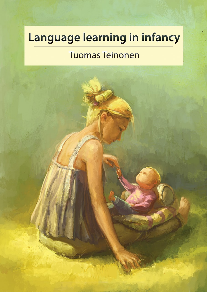# **Language learning in infancy**

# Tuomas Teinonen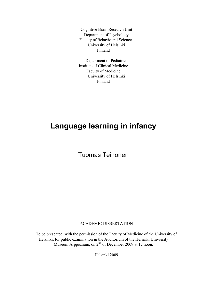Cognitive Brain Research Unit Department of Psychology Faculty of Behavioural Sciences University of Helsinki Finland

Department of Pediatrics Institute of Clinical Medicine Faculty of Medicine University of Helsinki Finland

## **Language learning in infancy**

Tuomas Teinonen

### ACADEMIC DISSERTATION

To be presented, with the permission of the Faculty of Medicine of the University of Helsinki, for public examination in the Auditorium of the Helsinki University Museum Arppeanum, on  $2<sup>nd</sup>$  of December 2009 at 12 noon.

Helsinki 2009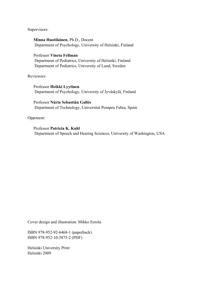Supervisors:

### **Minna Huotilainen**, Ph.D., Docent

Department of Psychology, University of Helsinki, Finland

#### Professor **Vineta Fellman**

 Department of Pediatrics, University of Helsinki, Finland Department of Pediatrics, University of Lund, Sweden

Reviewers:

Professor **Heikki Lyytinen** Department of Psychology, University of Jyväskylä, Finland

Professor **Núria Sebastián Gallés** Department of Technology, Universitat Pompeu Fabra, Spain

### Opponent:

Professor **Patricia K. Kuhl**  Department of Speech and Hearing Sciences, University of Washington, USA

Cover design and illustration: Mikko Eerola

ISBN 978-952-92-6468-1 (paperback) ISBN 978-952-10-5875-2 (PDF)

Helsinki University Print Helsinki 2009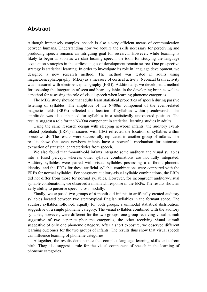### **Abstract**

Although immensely complex, speech is also a very efficient means of communication between humans. Understanding how we acquire the skills necessary for perceiving and producing speech remains an intriguing goal for research. However, while learning is likely to begin as soon as we start hearing speech, the tools for studying the language acquisition strategies in the earliest stages of development remain scarce. One prospective strategy is statistical learning. In order to investigate its role in language development, we designed a new research method. The method was tested in adults using magnetoencephalography (MEG) as a measure of cortical activity. Neonatal brain activity was measured with electroencephalography (EEG). Additionally, we developed a method for assessing the integration of seen and heard syllables in the developing brain as well as a method for assessing the role of visual speech when learning phoneme categories.

The MEG study showed that adults learn statistical properties of speech during passive listening of syllables. The amplitude of the N400m component of the event-related magnetic fields (ERFs) reflected the location of syllables within pseudowords. The amplitude was also enhanced for syllables in a statistically unexpected position. The results suggest a role for the N400m component in statistical learning studies in adults.

Using the same research design with sleeping newborn infants, the auditory eventrelated potentials (ERPs) measured with EEG reflected the location of syllables within pseudowords. The results were successfully replicated in another group of infants. The results show that even newborn infants have a powerful mechanism for automatic extraction of statistical characteristics from speech.

We also found that 5-month-old infants integrate some auditory and visual syllables into a fused percept, whereas other syllable combinations are not fully integrated. Auditory syllables were paired with visual syllables possessing a different phonetic identity, and the ERPs for these artificial syllable combinations were compared with the ERPs for normal syllables. For congruent auditory-visual syllable combinations, the ERPs did not differ from those for normal syllables. However, for incongruent auditory-visual syllable combinations, we observed a mismatch response in the ERPs. The results show an early ability to perceive speech cross-modally.

Finally, we exposed two groups of 6-month-old infants to artificially created auditory syllables located between two stereotypical English syllables in the formant space. The auditory syllables followed, equally for both groups, a unimodal statistical distribution, suggestive of a single phoneme category. The visual syllables combined with the auditory syllables, however, were different for the two groups, one group receiving visual stimuli suggestive of two separate phoneme categories, the other receiving visual stimuli suggestive of only one phoneme category. After a short exposure, we observed different learning outcomes for the two groups of infants. The results thus show that visual speech can influence learning of phoneme categories.

Altogether, the results demonstrate that complex language learning skills exist from birth. They also suggest a role for the visual component of speech in the learning of phoneme categories.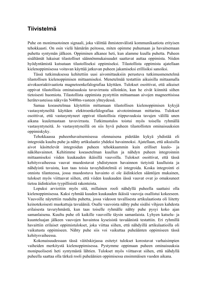### **Tiivistelmä**

Puhe on monimuotoinen signaali, joka välittää ihmistenvälistä kommunikaatiota erityisen tehokkaasti. On osin vielä hämärän peitossa, miten opimme puhumaan ja havaitsemaan puhetta syntymän jälkeen. Oppiminen alkanee heti, kun alamme kuulla puhetta. Puheen sisältämät lukuisat tilastolliset säännönmukaisuudet saattavat auttaa oppimista. Niiden hyödyntämistä kutsutaan tilastolliseksi oppimiseksi. Tilastollista oppimista ajatellaan kielenoppimisessa voitavan käyttää jatkuvan puheen jakamiseksi erillisiksi sanoiksi.

Tässä tutkimuksessa kehitettiin uusi aivomittauksiin perustuva tutkimusmenetelmä tilastollisen kielenoppimisen mittaamiseksi. Menetelmää testattiin aikuisilla mittaamalla aivokuoriaktivaatiota magnetoenkefalografiaa käyttäen. Tulokset osoittivat, että aikuiset oppivat tilastollisia ominaisuuksia tavuvirrasta silloinkin, kun he eivät kiinnitä siihen tietoisesti huomiota. Tilastollista oppimista pystyttiin mittaamaan aivojen magneettisissa herätevasteissa näkyvän N400m-vasteen yhteydessä.

Samaa koeasetelmaa käytettiin mittamaan tilastollisen kielenoppimisen kykyjä vastasyntyneiltä käyttäen elektroenkefalografiaa aivotoiminnan mittarina. Tulokset osoittivat, että vastasyntyneet oppivat tilastollisia riippuvuuksia tavujen välillä unen aikana kuulemastaan tavuvirrasta. Tutkimustulos toistui myös toisella ryhmällä vastasyntyneitä. Jo vastasyntyneillä on siis hyvä puheen tilastollisten ominaisuuksien oppimiskyky.

Tehokkaassa puheenhavaitsemisessa olennaisena pidetään kykyä yhdistää eli integroida kuultu puhe ja nähty artikulaatio yhdeksi havainnoksi. Ajatellaan, että aikuisilla aivot käsittelevät integroidun puheen tehokkaammin kuin erilliset kuulo- ja näköhavainnot. Kehitimme koeasetelman kuullun ja nähdyn puheen integroinnin mittaamiseksi viiden kuukauden ikäisillä vauvoilla. Tulokset osoittivat, että tässä kehitysvaiheessa vauvat muodostavat yhdistyneen havainnon tietyistä kuulluista ja nähdyistä tavuista, kun taas toisia tavuyhdistelmiä ei integroida. Koska integrointi ei onnistu tilanteessa, jossa muodostuva havainto ei ole äidinkielen sääntöjen mukainen, tulokset myös viittaavat siihen, että viiden kuukauden iässä vauvat ovat jo omaksuneet tietoa äidinkielen tyypillisistä rakenteista.

Lopuksi arvioitiin myös sitä, millainen rooli nähdyllä puheella saattaisi olla kielenoppimisessa. Kaksi ryhmää kuuden kuukauden ikäisiä vauvoja osallistui kokeeseen. Vauvoille näytettiin ruudulta puhetta, jossa videoon tavallisesta artikulaatiosta oli liitetty keinotekoisesti muokattuja tavuääniä. Osalle vauvoista nähty puhe sisälsi vihjeen kahdesta erilaisesta tavuryhmästä, kun taas toiselle ryhmälle nähty puhe pysyi koko ajan samanlaisena. Kuultu puhe oli kaikille vauvoille täysin samanlaista. Lyhyen katselu- ja kuunteluajan jälkeen vauvojen havaintoa kyseisistä tavuäänistä testattiin. Eri ryhmillä havaittiin erilaiset oppimistulokset, joka viittaa siihen, että nähdyillä artikulaatioilla oli vaikutusta oppimiseen. Nähty puhe siis voi vaikuttaa puheäänten oppimiseen tässä kehitysvaiheessa.

Kokonaisuudessaan tässä väitöskirjassa esitetyt tulokset korostavat varhaisimpien vaiheiden merkitystä kielenoppimisessa. Pystymme oppimaan puheen ominaisuuksia monipuolisesti heti syntymästä lähtien. Tulokset myös viittaavat siihen, että nähdyllä puheella saattaa olla tärkeä rooli puheäänien oppimisessa ensimmäisen vuoden aikana.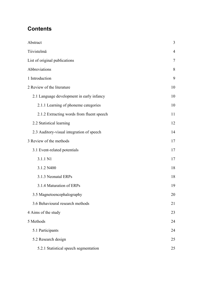### **Contents**

| Abstract                                  | 3              |
|-------------------------------------------|----------------|
| Tiivistelmä                               | $\overline{4}$ |
| List of original publications             | 7              |
| Abbreviations                             | 8              |
| 1 Introduction                            | 9              |
| 2 Review of the literature                | 10             |
| 2.1 Language development in early infancy | 10             |
| 2.1.1 Learning of phoneme categories      | 10             |
| 2.1.2 Extracting words from fluent speech | 11             |
| 2.2 Statistical learning                  | 12             |
| 2.3 Auditory-visual integration of speech | 14             |
| 3 Review of the methods                   | 17             |
| 3.1 Event-related potentials              | 17             |
| 3.1.1 N1                                  | 17             |
| 3.1.2 N400                                | 18             |
| 3.1.3 Neonatal ERPs                       | 18             |
| 3.1.4 Maturation of ERPs                  | 19             |
| 3.5 Magnetoencephalography                | 20             |
| 3.6 Behavioural research methods          | 21             |
| 4 Aims of the study                       | 23             |
| 5 Methods                                 | 24             |
| 5.1 Participants                          | 24             |
| 5.2 Research design                       | 25             |
| 5.2.1 Statistical speech segmentation     | 25             |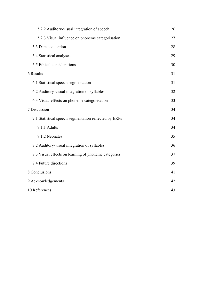| 5.2.3 Visual influence on phoneme categorisation      | 27<br>28 |
|-------------------------------------------------------|----------|
|                                                       |          |
| 5.3 Data acquisition                                  |          |
| 5.4 Statistical analyses                              | 29       |
| 5.5 Ethical considerations                            | 30       |
| 6 Results                                             | 31       |
| 6.1 Statistical speech segmentation                   | 31       |
| 6.2 Auditory-visual integration of syllables          | 32       |
| 6.3 Visual effects on phoneme categorisation          | 33       |
| 7 Discussion                                          | 34       |
| 7.1 Statistical speech segmentation reflected by ERPs | 34       |
| 7.1.1 Adults                                          | 34       |
| 7.1.2 Neonates                                        | 35       |
| 7.2 Auditory-visual integration of syllables          | 36       |
| 7.3 Visual effects on learning of phoneme categories  | 37       |
| 7.4 Future directions                                 | 39       |
| 8 Conclusions                                         | 41       |
| 9 Acknowledgements                                    | 42       |
| 10 References                                         | 43       |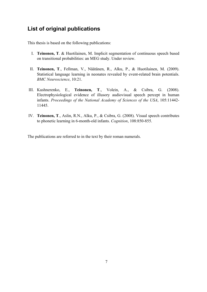### **List of original publications**

This thesis is based on the following publications:

- I. **Teinonen, T**. & Huotilainen, M. Implicit segmentation of continuous speech based on transitional probabilities: an MEG study. Under review.
- II. **Teinonen, T**., Fellman, V., Näätänen, R., Alku, P., & Huotilainen, M. (2009). Statistical language learning in neonates revealed by event-related brain potentials. *BMC Neuroscience*, 10:21.
- III. Kushnerenko, E., **Teinonen, T**., Volein, A., & Csibra, G. (2008). Electrophysiological evidence of illusory audiovisual speech percept in human infants. *Proceedings of the National Academy of Sciences of the USA*, 105:11442- 11445.
- IV. **Teinonen, T**., Aslin, R.N., Alku, P., & Csibra, G. (2008). Visual speech contributes to phonetic learning in 6-month-old infants. *Cognition*, 108:850-855.

The publications are referred to in the text by their roman numerals.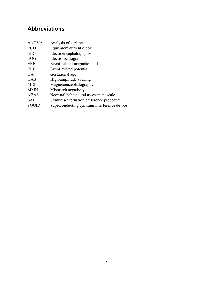### **Abbreviations**

| <b>ANOVA</b> | Analysis of variance                      |
|--------------|-------------------------------------------|
| ECD          | Equivalent current dipole                 |
| EEG          | Electroencephalography                    |
| EOG          | Electro-oculogram                         |
| ERF          | Event-related magnetic field              |
| ERP          | Event-related potential                   |
| GA           | Gestational age                           |
| HAS          | High-amplitude sucking                    |
| MEG          | Magnetoencephalography                    |
| MMN          | Mismatch negativity                       |
| <b>NBAS</b>  | Neonatal behavioural assessment scale     |
| SAPP         | Stimulus-alternation preference procedure |

SQUID Superconducting quantum interference device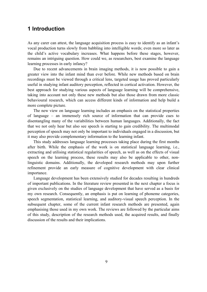### **1 Introduction**

As any carer can attest, the language acquisition process is easy to identify as an infant's vocal production turns slowly from babbling into intelligible words; even more so later as the child's active vocabulary increases. What happens before these stages, however, remains an intriguing question. How could we, as researchers, best examine the language learning processes in early infancy?

Due to recent advancements in brain imaging methods, it is now possible to gain a greater view into the infant mind than ever before. While new methods based on brain recordings must be viewed through a critical lens, targeted usage has proved particularly useful in studying infant auditory perception, reflected in cortical activation. However, the best approach for studying various aspects of language learning will be comprehensive, taking into account not only these new methods but also those drawn from more classic behavioural research, which can access different kinds of information and help build a more complete picture.

The new view on language learning includes an emphasis on the statistical properties of language – an immensely rich source of information that can provide cues to disentangling many of the variabilities between human languages. Additionally, the fact that we not only hear but also see speech is starting to gain credibility. The multimodal perception of speech may not only be important to individuals engaged in a discussion, but it may also provide complementary information to the learning infant.

This study addresses language learning processes taking place during the first months after birth. While the emphasis of the work is on statistical language learning, i.e., extracting and utilising statistical regularities of speech, as well as on the effects of visual speech on the learning process, these results may also be applicable to other, nonlinguistic domains. Additionally, the developed research methods may upon further refinement provide an early measure of cognitive development with clear clinical importance.

Language development has been extensively studied for decades resulting in hundreds of important publications. In the literature review presented in the next chapter a focus is given exclusively on the studies of language development that have served as a basis for my own research. Consequently, an emphasis is put on learning of phoneme categories, speech segmentation, statistical learning, and auditory-visual speech perception. In the subsequent chapter, some of the current infant research methods are presented, again emphasising those used in my own work. The reviews are followed by the particular aims of this study, description of the research methods used, the acquired results, and finally discussion of the results and their implications.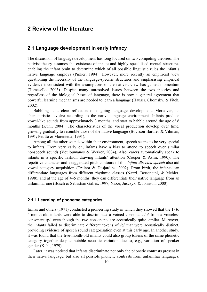### **2 Review of the literature**

### **2.1 Language development in early infancy**

The discussion of language development has long focused on two competing theories. The nativist theory assumes the existence of innate and highly specialised mental structures enabling the infant brain to determine which of all possible linguistic rules the infant's native language employs (Pinker, 1994). However, more recently an empiricist view questioning the necessity of the language-specific structures and emphasising empirical evidence inconsistent with the assumptions of the nativist view has gained momentum (Tomasello, 2003). Despite many unresolved issues between the two theories and regardless of the biological bases of language, there is now a general agreement that powerful learning mechanisms are needed to learn a language (Hauser, Chomsky, & Fitch, 2002).

Babbling is a clear reflection of ongoing language development. Moreover, its characteristics evolve according to the native language environment. Infants produce vowel-like sounds from approximately 3 months, and start to babble around the age of 6 months (Kuhl, 2004). The characteristics of the vocal production develop over time, growing gradually to resemble those of the native language (Boysson-Bardies & Vihman, 1991; Petitto & Marentette, 1991).

Among all the other sounds within their environment, speech seems to be very special to infants. From very early on, infants have a bias to attend to speech over similar nonspeech sounds (Vouloumanos & Werker, 2004). Also, carers automatically speak to infants in a specific fashion drawing infants' attention (Cooper & Aslin, 1990). The repetitive character and exaggerated pitch contours of this *infant-directed speech* also aid vowel category acquisition (Trainor & Desjardins, 2002). From birth, the infants can differentiate languages from different rhythmic classes (Nazzi, Bertoncini, & Mehler, 1998), and at the age of 4–5 months, they can differentiate their native language from an unfamiliar one (Bosch & Sebastián Gallés, 1997; Nazzi, Jusczyk, & Johnson, 2000).

#### **2.1.1 Learning of phoneme categories**

Eimas and others (1971) conducted a pioneering study in which they showed that the 1- to 4-month-old infants were able to discriminate a voiced consonant /b/ from a voiceless consonant /p/, even though the two consonants are acoustically quite similar. Moreover, the infants failed to discriminate different tokens of /b/ that were acoustically distinct, providing evidence of speech sound categorisation even at this early age. In another study, it was found that the five-month-old infants could also group tokens of the same phonetic category together despite notable acoustic variation due to, e.g., variation of speaker gender (Kuhl, 1979).

Later, it was noticed that infants discriminate not only the phonetic contrasts present in their native language, but also all possible phonetic contrasts from unfamiliar languages.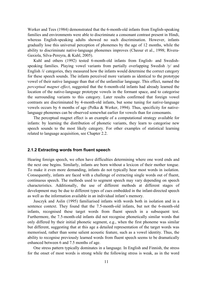Werker and Tees (1984) demonstrated that the 6-month-old infants from English-speaking families and environments were able to discriminate a consonant contrast present in Hindi, whereas English-speaking adults showed no such discrimination. However, infants gradually lose this universal perception of phonemes by the age of 12 months, while the ability to discriminate native-language phonemes improves (Cheour et al., 1998; Rivera-Gaxiola, Silva-Pereyra, & Kuhl, 2005).

Kuhl and others (1992) tested 6-month-old infants from English- and Swedishspeaking families. Playing vowel variants from partially overlapping Swedish /y/ and English /i/ categories, they measured how the infants would determine the correct category for these speech sounds. The infants perceived more variants as identical to the prototype vowel of their native language than that of the unfamiliar language. This effect, named the *perceptual magnet effect*, suggested that the 6-month-old infants had already learned the location of the native-language prototype vowels in the formant space, and to categorise the surrounding variants to this category. Later results confirmed that foreign vowel contrasts are discriminated by 4-month-old infants, but some tuning for native-language vowels occurs by 6 months of age (Polka & Werker, 1994). Thus, specificity for nativelanguage phonemes can be observed somewhat earlier for vowels than for consonants.

The perceptual magnet effect is an example of a computational strategy available for infants: by learning the distribution of phonetic variants, they learn to categorise new speech sounds to the most likely category. For other examples of statistical learning related to language acquisition, see Chapter 2.2.

#### **2.1.2 Extracting words from fluent speech**

Hearing foreign speech, we often have difficulties determining where one word ends and the next one begins. Similarly, infants are born without a lexicon of their mother tongue. To make it even more demanding, infants do not typically hear most words in isolation. Consequently, infants are faced with a challenge of extracting single words out of fluent, continuous speech. The methods used to segment speech may vary depending on speech characteristics. Additionally, the use of different methods at different stages of development may be due to different types of cues embedded in the infant-directed speech as well as the information available in an individual infant's memory.

Jusczyk and Aslin (1995) familiarised infants with words both in isolation and in a sentence context. They found that the 7.5-month-old infants, but not the 6-month-old infants, recognised these target words from fluent speech in a subsequent test. Furthermore, the 7.5-month-old infants did not recognise phonetically similar words that only differed by their initial phonetic segment, e.g., when the first phoneme was similar but different, suggesting that at this age a detailed representation of the target words was memorised, rather than some salient acoustic feature, such as a vowel identity. Thus, the ability to recognise previously learned words from fluent speech seems to be dramatically enhanced between 6 and 7.5 months of age.

One stress pattern typically dominates in a language. In English and Finnish, the stress for the onset of most words is strong while the following stress is weak, as in the word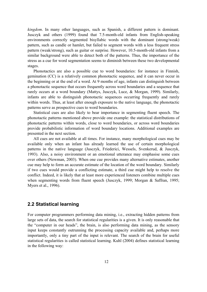*kingdom*. In many other languages, such as Spanish, a different pattern is dominant. Jusczyk and others (1999) found that 7.5-month-old infants from English-speaking environments correctly segmented bisyllabic words with the dominant (strong/weak) pattern, such as candle or hamlet, but failed to segment words with a less frequent stress pattern (weak/strong), such as guitar or surprise. However, 10.5-month-old infants from a similar background were able to detect both of the patterns. Thus, the importance of the stress as a cue for word segmentation seems to diminish between these two developmental stages.

Phonotactics are also a possible cue to word boundaries: for instance in Finnish, gemination (CC) is a relatively common phonotactic sequence, and it can never occur in the beginning or at the end of a word. At 9 months of age, infants can distinguish between a phonotactic sequence that occurs frequently across word boundaries and a sequence that rarely occurs at a word boundary (Mattys, Jusczyk, Luce, & Morgan, 1999). Similarly, infants are able to distinguish phonotactic sequences occurring frequently and rarely within words. Thus, at least after enough exposure to the native language, the phonotactic patterns serve as prospective cues to word boundaries.

Statistical cues are also likely to bear importance in segmenting fluent speech. The phonotactic patterns mentioned above provide one example: the statistical distributions of phonotactic patterns within words, close to word boundaries, or across word boundaries provide probabilistic information of word boundary locations. Additional examples are presented in the next section.

All cues are not available at all times. For instance, many morphological cues may be available only when an infant has already learned the use of certain morphological patterns in the native language (Jusczyk, Friederici, Wessels, Svenkerud, & Jusczyk, 1993). Also, a noisy environment or an emotional utterance may emphasise some cues over others (Newman, 2003). When one cue provides many alternative estimates, another cue may help to form an accurate estimate of the location of the word boundary. Similarly if two cues would provide a conflicting estimate, a third cue might help to resolve the conflict. Indeed, it is likely that at least more experienced listeners combine multiple cues when segmenting words from fluent speech (Jusczyk, 1999; Morgan & Saffran, 1995; Myers et al., 1996).

### **2.2 Statistical learning**

For computer programmers performing data mining, i.e., extracting hidden patterns from large sets of data, the search for statistical regularities is a given. It is only reasonable that the "computer in our heads", the brain, is also performing data mining, as the sensory input keeps constantly outrunning the processing capacity available and, perhaps more importantly, only a tiny part of the input is relevant. The search of the brain for useful statistical regularities is called statistical learning. Kuhl (2004) defines statistical learning in the following way: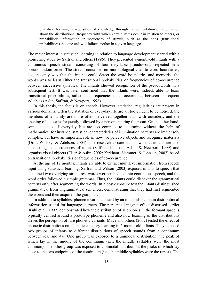Statistical learning is acquisition of knowledge through the computation of information about the distributional frequency with which certain items occur in relation to others, or probabilistic information in sequences of stimuli, such as the odds (transitional probabilities) that one unit will follow another in a given language.

The major interest in statistical learning in relation to language development started with a pioneering study by Saffran and others (1996). They presented 8-month-old infants with a continuous speech stream consisting of four trisyllabic pseudowords repeated in a pseudorandom order. The stream contained no morphological cues to word boundaries, i.e., the only way that the infants could detect the word boundaries and memorise the words was to learn either the transitional probabilities or frequencies of co-occurrence between successive syllables. The infants showed recognition of the pseudowords in a subsequent test. It was later confirmed that the infants were, indeed, able to learn transitional probabilities, rather than frequencies of co-occurrence, between subsequent syllables (Aslin, Saffran, & Newport, 1998).

In this thesis, the focus is on speech. However, statistical regularities are present in various domains. Often the statistics of everyday life are all too evident to be noticed: the members of a family are more often perceived together than with outsiders, and the opening of a door is frequently followed by a person entering the room. On the other hand, some statistics of everyday life are too complex to determine without the help of mathematics: for instance, statistical characteristics of illumination patterns are immensely complex, but have an important role in how we perceive objects and recognise materials (Dror, Willsky, & Adelson, 2004). The research to date has shown that infants are also able to segment sequences of tones (Saffran, Johnson, Aslin, & Newport, 1999) and organise visual objects (Fiser & Aslin, 2002; Kirkham, Slemmer, & Johnson, 2002) based on transitional probabilities or frequencies of co-occurrence.

At the age of 12 months, infants are able to extract multilevel information from speech input using statistical learning. Saffran and Wilson (2003) exposed infants to speech that contained two overlying structures: words were embedded into continuous speech, and the word order followed a simple grammar. Thus, the infants could discover the grammatical patterns only after segmenting the words. In a post-exposure test the infants distinguished grammatical from ungrammatical sentences, demonstrating that they had first segmented the words and then acquired the grammar.

In addition to syllables, phoneme variants heard by an infant also contain distributional information useful for language learners. The perceptual magnet effect discussed earlier (Kuhl et al., 1992) demonstrated how the distribution of allophones in the formant space is typically centred around a prototype phoneme and also how learning of the distributions drives the perception of rare phonetic variants. Maye and others (2002) tested the effect of phonetic distributions on phonetic category learning in 6-month-old infants. They exposed two groups of infants to different distributions of speech sounds from a continuum between /da/ and /ta/. One group was exposed to a unimodal distribution, the peak of which lay in the middle of the continuum (i.e., the middle syllables were the most common). The other group was exposed to a bimodal distribution, the peaks of which lay close to the two endpoints of the continuum (i.e., the middle syllables were the rarest). The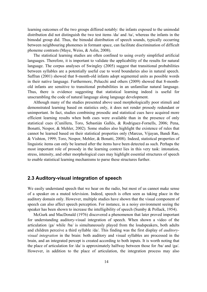learning outcomes of the two groups differed notably: the infants exposed to the unimodal distribution did not distinguish the two test items /da/ and /ta/, whereas the infants in the bimodal group did. Thus, the bimodal distribution of speech sounds, typically occurring between neighbouring phonemes in formant space, can facilitate discrimination of difficult phoneme contrasts (Maye, Weiss, & Aslin, 2008).

The statistical learning studies are often confined to using overly simplified artificial languages. Therefore, it is important to validate the applicability of the results for natural language. The corpus analyses of Swingley (2005) suggest that transitional probabilities between syllables are a potentially useful cue to word boundaries also in natural speech. Saffran (2001) showed that 8-month-old infants adopt segmented units as possible words in their native language. Furthermore, Pelucchi and others (2009) showed that 8-monthold infants are sensitive to transitional probabilities in an unfamiliar natural language. Thus, there is evidence suggesting that statistical learning indeed is useful for unscrambling the code of natural language along language development.

Although many of the studies presented above used morphologically poor stimuli and demonstrated learning based on statistics only, it does not render prosody redundant or unimportant. In fact, studies combining prosodic and statistical cues have acquired more efficient learning results when both cues were available than in the presence of only statistical cues (Cunillera, Toro, Sebastián Gallés, & Rodriguez-Fornells, 2006; Pena, Bonatti, Nespor, & Mehler, 2002). Some studies also highlight the existence of rules that cannot be learned based on their statistical properties only (Marcus, Vijayan, Bandi Rao, & Vishton, 1999; Toro, Nespor, Mehler, & Bonatti, 2008). Indeed, statistical properties of linguistic items can only be learned after the items have been detected as such. Perhaps the most important role of prosody in the learning context lies in this very task: intonation, stress, intensity, and other morphological cues may highlight essential structures of speech to enable statistical learning mechanisms to parse these structures further.

### **2.3 Auditory-visual integration of speech**

We easily understand speech that we hear on the radio, but most of us cannot make sense of a speaker on a muted television. Indeed, speech is often seen as taking place in the auditory domain only. However, multiple studies have shown that the visual component of speech can also affect speech perception. For instance, in a noisy environment seeing the speaker has been shown to increase the intelligibility of speech (Sumby & Pollack, 1954).

McGurk and MacDonald (1976) discovered a phenomenon that later proved important for understanding auditory-visual integration of speech. When shown a video of the articulation /ga/ while /ba/ is simultaneously played from the loudspeakers, both adults and children perceive a third syllable /da/. This finding was the first display of *auditoryvisual integration* in the brain: both auditory and visual syllables are processed in the brain, and an integrated percept is created according to both inputs. It is worth noting that the place of articulation for /da/ is approximately halfway between those for /ba/ and /ga/. However, in addition to the place of articulation, the integration process may also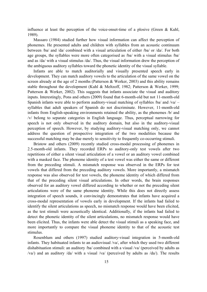influence at least the perception of the voice-onset-time of a plosive (Green & Kuhl, 1989).

Massaro (1984) studied further how visual information can affect the perception of phonemes. He presented adults and children with syllables from an acoustic continuum between /ba/ and /da/ combined with a visual articulation of either /ba/ or /da/. For both age groups, the syllables were more often categorised as /ba/ with a visual stimulus /ba/ and as /da/ with a visual stimulus /da/. Thus, the visual information drew the perception of the ambiguous auditory syllables toward the phonetic identity of the visual syllable.

Infants are able to match auditorially and visually presented speech early in development. They can match auditory vowels to the articulation of the same vowel on the screen already at the age of 2 months (Patterson & Werker, 2003) and this ability remains stable throughout the development (Kuhl & Meltzoff, 1982; Patterson & Werker, 1999; Patterson & Werker, 2002). This suggests that infants associate the visual and auditory inputs. Interestingly, Pons and others (2009) found that 6-month-old but not 11-month-old Spanish infants were able to perform auditory-visual matching of syllables  $/ba/$  and  $/va/$ syllables that adult speakers of Spanish do not discriminate. However, 11-month-old infants from English-speaking environments retained the ability, as the phonemes /b/ and /v/ belong to separate categories in English language. Thus, perceptual narrowing for speech is not only observed in the auditory domain, but also in the auditory-visual perception of speech. However, by studying auditory-visual matching only, we cannot address the question of prospective integration of the two modalities because the successful matching may be due merely to sensitivity to frequently co-occurring stimuli.

Bristow and others (2009) recently studied cross-modal processing of phonemes in 2.5-month-old infants. They recorded ERPs to auditory-only test vowels after two repetitions of either a silent visual articulation of a vowel or an auditory vowel combined with a masked face. The phoneme identity of a test vowel was either the same or different from the preceding stimuli. A mismatch response was observed in the ERPs for test vowels that differed from the preceding auditory vowels. More importantly, a mismatch response was also observed for test vowels, the phoneme identity of which differed from that of the preceding silent visual articulations. In other words, the brain responses observed for an auditory vowel differed according to whether or not the preceding silent articulations were of the same phoneme identity. While this does not directly assess integration of speech sounds, it convincingly demonstrates that infants have acquired a cross-modal representation of vowels early in development. If the infants had failed to identify the silent articulations as speech, no mismatch response would have been elicited, as the test stimuli were acoustically identical. Additionally, if the infants had failed to detect the phonetic identity of the silent articulations, no mismatch response would have been elicited. Thus, the infants were able detect the visual stimuli as a speaking face, and more importantly to compare the visual phoneme identity to that of the acoustic test stimulus.

Rosenblum and others (1997) studied auditory-visual integration in 5-month-old infants. They habituated infants to an audiovisual /va/, after which they used two different dishabituation stimuli: an auditory /ba/ combined with a visual /va/ (perceived by adults as /va/) and an auditory /da/ with a visual /va/ (perceived by adults as /da/). The results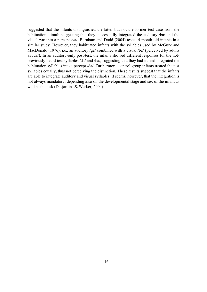suggested that the infants distinguished the latter but not the former test case from the habituation stimuli suggesting that they successfully integrated the auditory /ba/ and the visual /va/ into a percept /va/. Burnham and Dodd (2004) tested 4-month-old infants in a similar study. However, they habituated infants with the syllables used by McGurk and MacDonald (1976), i.e., an auditory /ga/ combined with a visual /ba/ (perceived by adults as /da/). In an auditory-only post-test, the infants showed different responses for the notpreviously-heard test syllables /da/ and /ba/, suggesting that they had indeed integrated the habituation syllables into a percept /da/. Furthermore, control group infants treated the test syllables equally, thus not perceiving the distinction. These results suggest that the infants are able to integrate auditory and visual syllables. It seems, however, that the integration is not always mandatory, depending also on the developmental stage and sex of the infant as well as the task (Desjardins & Werker, 2004).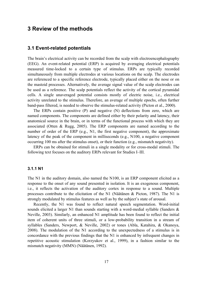### **3 Review of the methods**

### **3.1 Event-related potentials**

The brain's electrical activity can be recorded from the scalp with electroencephalography (EEG). An event-related potential (ERP) is acquired by averaging electrical potentials measured time-locked to a certain type of stimulus. ERPs are typically recorded simultaneously from multiple electrodes at various locations on the scalp. The electrodes are referenced to a specific reference electrode, typically placed either on the nose or on the mastoid processes. Alternatively, the average signal value of the scalp electrodes can be used as a reference. The scalp potentials reflect the activity of the cortical pyramidal cells. A single unaveraged potential consists mostly of electric noise, i.e., electrical activity unrelated to the stimulus. Therefore, an average of multiple epochs, often further band-pass filtered, is needed to observe the stimulus-related activity (Picton et al., 2000).

The ERPs contain positive (P) and negative (N) deflections from zero, which are named components. The components are defined either by their polarity and latency, their anatomical source in the brain, or in terms of the functional process with which they are associated (Otten & Rugg, 2005). The ERP components are named according to the number of order of the ERP (e.g., N1, the first negative component), the approximate latency of the peak of the component in milliseconds (e.g., N100, a negative component occurring 100 ms after the stimulus onset), or their function (e.g., mismatch negativity).

ERPs can be obtained for stimuli in a single modality or for cross-modal stimuli. The following text focuses on the auditory ERPs relevant for Studies I–III.

#### **3.1.1 N1**

The N1 in the auditory domain, also named the N100, is an ERP component elicited as a response to the onset of any sound presented in isolation. It is an exogenous component, i.e., it reflects the activation of the auditory cortex in response to a sound. Multiple processes contribute to the elicitation of the N1 (Näätänen & Picton, 1987). The N1 is strongly modulated by stimulus features as well as by the subject's state of arousal.

Recently, the N1 was found to reflect natural speech segmentation. Word-initial sounds elicited a larger N1 than sounds starting with a word-medial syllable (Sanders & Neville, 2003). Similarly, an enhanced N1 amplitude has been found to reflect the initial item of coherent units of three stimuli, or a low-probability transition in a stream of syllables (Sanders, Newport, & Neville, 2002) or tones (Abla, Katahira, & Okanoya, 2008). The modulation of the N1 according to the unexpectedness of a stimulus is in concordance with the previous findings that the N1 is enhanced by infrequent changes in repetitive acoustic stimulation (Korzyukov et al., 1999), in a fashion similar to the mismatch negativity (MMN) (Näätänen, 1992).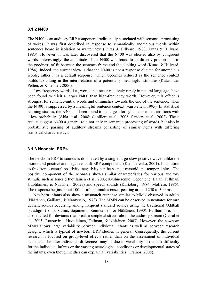#### **3.1.2 N400**

The N400 is an auditory ERP component traditionally associated with semantic processing of words. It was first described in response to semantically anomalous words within sentences heard in isolation or written text (Kutas & Hillyard, 1980; Kutas & Hillyard, 1983). However, it was later discovered that the N400 was elicited also by congruent words. Interestingly, the amplitude of the N400 was found to be directly proportional to the goodness-of-fit between the sentence frame and the eliciting word (Kutas & Hillyard, 1984). Indeed, the current view is that the N400 is not a response elicited for anomalous words; rather it is a default response, which becomes reduced as the sentence context builds up aiding in the interpretation of a potentially meaningful stimulus (Kutas, van Petten, & Kluender, 2006).

Low-frequency words, i.e., words that occur relatively rarely in natural language, have been found to elicit a larger N400 than high-frequency words. However, this effect is strongest for sentence-initial words and diminishes towards the end of the sentence, when the N400 is suppressed by a meaningful sentence context (van Petten, 1995). In statistical learning studies, the N400 has been found to be largest for syllable or tone transitions with a low probability (Abla et al., 2008; Cunillera et al., 2006; Sanders et al., 2002). These results suggest N400 a general role not only in semantic processing of words, but also in probabilistic parsing of auditory streams consisting of similar items with differing statistical characteristics.

#### **3.1.3 Neonatal ERPs**

The newborn ERP to sounds is dominated by a single large slow positive wave unlike the more rapid positive and negative adult ERP components (Kushnerenko, 2001). In addition to this fronto-central positivity, negativity can be seen at mastoid and temporal sites. The positive component of the neonates shows similar characteristics for various auditory stimuli, such as tones (Huotilainen et al., 2003; Kushnerenko, Ceponiene, Balan, Fellman, Huotilainen, & Näätänen, 2002a) and speech sounds (Kurtzberg, 1984; Molfese, 1985). The response begins about 100 ms after stimulus onset, peaking around 250 to 300 ms.

Newborn infants also show a mismatch response similar to MMN observed in adults (Näätänen, Gaillard, & Mantysalo, 1978). The MMN can be observed in neonates for rare deviant sounds occurring among frequent standard sounds using the traditional Oddball paradigm (Alho, Sainio, Sajaniemi, Reinikainen, & Näätänen, 1990). Furthermore, it is also elicited for deviants that break a simple abstract rule in the auditory stream (Carral et al., 2005; Ruusuvirta, Huotilainen, Fellman, & Näätänen, 2003). However, the newborn MMN shows large variability between individual infants as well as between research designs, which is typical of newborn ERP studies in general. Consequently, the current research is focused on group-level effects rather than on the assessment of individual neonates. The inter-individual differences may be due to variability in the task difficulty for the individual infants or the varying neurological conditions or developmental states of the infants, even though neither can explain all variabilities (Trainor, 2008).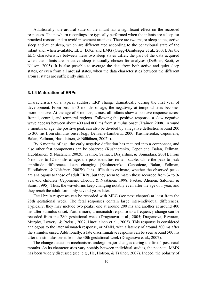Additionally, the arousal state of the infant has a significant effect on the recorded responses. The newborn recordings are typically performed when the infants are asleep for practical reasons and to avoid movement artefacts. There are two major sleep states, active sleep and quiet sleep, which are differentiated according to the behavioural state of the infant and, when available, EEG, EOG, and EMG (Grigg-Damberger et al., 2007). As the EEG characteristics between these two sleep states differ, the part of the data acquired when the infants are in active sleep is usually chosen for analyses (DeBoer, Scott,  $\&$ Nelson, 2005). It is also possible to average the data from both active and quiet sleep states, or even from all arousal states, when the data characteristics between the different arousal states are sufficiently similar.

#### **3.1.4 Maturation of ERPs**

Characteristics of a typical auditory ERP change dramatically during the first year of development. From birth to 3 months of age, the negativity at temporal sites becomes more positive. At the age of 3 months, almost all infants show a positive response across frontal, central, and temporal regions. Following the positive response, a slow negative wave appears between about 400 and 800 ms from stimulus onset (Trainor, 2008). Around 3 months of age, the positive peak can also be divided by a negative deflection around 200 to 300 ms from stimulus onset (e.g., Dehaene-Lambertz, 2000; Kushnerenko, Ceponiene, Balan, Fellman, Huotilainen, & Näätänen, 2002b).

By 6 months of age, the early negative deflection has matured into a component, and also other fast components can be observed (Kushnerenko, Ceponiene, Balan, Fellman, Huotilainen, & Näätänen, 2002b; Trainor, Samuel, Desjardins, & Sonnadara, 2001). From 6 months to 12 months of age, the peak identities remain stable, while the peak-to-peak amplitude differences keep changing (Kushnerenko, Ceponiene, Balan, Fellman, Huotilainen, & Näätänen, 2002b). It is difficult to estimate, whether the observed peaks are analogous to those of adult ERPs, but they seem to match those recorded from 3- to 9 year-old children (Ceponiene, Cheour, & Näätänen, 1998; Paetau, Ahonen, Salonen, & Sams, 1995). Thus, the waveforms keep changing notably even after the age of 1 year, and they reach the adult form only several years later.

Fetal brain responses can be recorded with MEG (see next chapter) at least from the 28th gestational week. The fetal responses contain large inter-individual differences. Typically, they may include two peaks: one at around 200 ms and another at around 400 ms after stimulus onset. Furthermore, a mismatch response to a frequency change can be recorded from the 28th gestational week (Draganova et al., 2005; Draganova, Eswaran, Murphy, Lowery, & Preissl, 2007; Huotilainen et al., 2005). This response is considered analogous to the later mismatch response, or MMN, with a latency of around 300 ms after the stimulus onset. Additionally, a late discriminative response can be seen around 500 ms after the stimulus onset from the 30th gestational week (Draganova et al., 2007).

The change-detection mechanisms undergo major changes during the first 4 post-natal months. As its characteristics vary notably between individual studies, the neonatal MMN has been widely discussed (see, e.g., He, Hotson, & Trainor, 2007). Indeed, the polarity of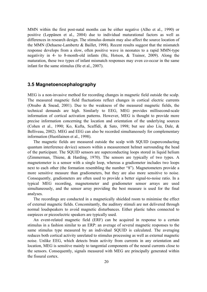MMN within the first post-natal months can be either negative (Alho et al., 1990) or positive (Leppänen et al., 2004) due to individual maturational factors as well as differences in research design. The stimulus domain may also affect the source location of the MMN (Dehaene-Lambertz & Baillet, 1998). Recent results suggest that the mismatch response develops from a slow, often positive wave in neonates to a rapid MMN-type negativity in 4- to 8-month-old infants (He, Hotson, & Trainor, 2009). Along the maturation, these two types of infant mismatch responses may even co-occur in the same infant for the same stimulus (He et al., 2007).

### **3.5 Magnetoencephalography**

MEG is a non-invasive method for recording changes in magnetic field outside the scalp. The measured magnetic field fluctuations reflect changes in cortical electric currents (Otsubo & Snead, 2001). Due to the weakness of the measured magnetic fields, the technical demands are high. Similarly to EEG, MEG provides millisecond-scale information of cortical activation patterns. However, MEG is thought to provide more precise information concerning the location and orientation of the underlying sources (Cohen et al., 1990; Ko, Kufta, Scaffidi, & Sato, 1998; but see also Liu, Dale, & Belliveau, 2002). MEG and EEG can also be recorded simultaneously for complementary information (Huotilainen et al., 1998).

The magnetic fields are measured outside the scalp with SQUID (superconducting quantum interference device) sensors within a measurement helmet surrounding the head of the participant. The SQUID sensors are superconducting loops stored in liquid helium (Zimmerman, Thiene, & Harding, 1970). The sensors are typically of two types. A magnetometer is a sensor with a single loop, whereas a gradiometer includes two loops next to each other (the formation resembling the number "8"). Magnetometers provide a more sensitive measure than gradiometers, but they are also more sensitive to noise. Consequently, gradiometers are often used to provide a better signal-to-noise ratio. In a typical MEG recording, magnetometer and gradiometer sensor arrays are used simultaneously, and the sensor array providing the best measure is used for the final analyses.

The recordings are conducted in a magnetically shielded room to minimise the effect of external magnetic fields. Concomitantly, the auditory stimuli are not delivered through normal loudspeakers to avoid magnetic disturbances. Either plastic tubes connected to earpieces or piezoelectric speakers are typically used.

An event-related magnetic field (ERF) can be acquired in response to a certain stimulus in a fashion similar to an ERP: an average of several magnetic responses to the same stimulus type measured by an individual SQUID is calculated. The averaging reduces both cortical activity unrelated to stimulus processing as well as external magnetic noise. Unlike EEG, which detects brain activity from currents in any orientation and location, MEG is sensitive mainly to tangential components of the neural currents close to the sensors. Consequently, signals measured with MEG are principally generated within the fissural cortex.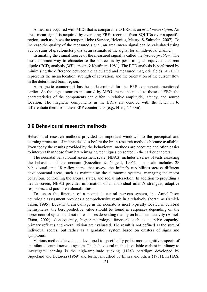A measure acquired with MEG that is comparable to ERPs is an *areal mean signal*. An areal mean signal is acquired by averaging ERFs recorded from SQUIDs over a specific region, such as above the temporal lobe (Service, Helenius, Maury, & Salmelin, 2007). To increase the quality of the measured signal, an areal mean signal can be calculated using vector sums of gradiometer pairs as an estimate of the signal for an individual channel.

Estimating the cranial source of the measured signal is called the *inverse problem*. The most common way to characterise the sources is by performing an equivalent current dipole (ECD) analysis (Williamson & Kaufman, 1981). The ECD analysis is performed by minimising the difference between the calculated and measured magnetic fields. An ECD represents the mean location, strength of activation, and the orientation of the current flow in the determined brain region.

A magnetic counterpart has been determined for the ERP components mentioned earlier. As the signal sources measured by MEG are not identical to those of EEG, the characteristics of the components can differ in relative amplitude, latency, and source location. The magnetic components in the ERFs are denoted with the letter m to differentiate them from their ERP counterparts (e.g., N1m, N400m).

### **3.6 Behavioural research methods**

Behavioural research methods provided an important window into the perceptual and learning processes of infants decades before the brain research methods became available. Even today the results provided by the behavioural methods are adequate and often easier to interpret than those from brain imaging techniques presented in the earlier chapters.

The neonatal behavioural assessment scale (NBAS) includes a series of tests assessing the behaviour of the neonate (Brazelton  $\&$  Nugent, 1995). The scale includes 28 behavioural and 18 reflex items that assess the infant's capabilities across different developmental areas, such as maintaining the autonomic systems, managing the motor behaviour, controlling the arousal states, and social interaction. In addition to providing a health screen, NBAS provides information of an individual infant's strengths, adaptive responses, and possible vulnerabilities.

To assess the function of a neonate's central nervous system, the Amiel-Tison neurologic assessment provides a comprehensive result in a relatively short time (Amiel-Tison, 1995). Because brain damage in the neonate is most typically located in cerebral hemispheres, the best predictive value should be found in responses depending on the upper control system and not in responses depending mainly on brainstem activity (Amiel-Tison, 2002). Consequently, higher neurologic functions such as adaptive capacity, primary reflexes and overall vision are evaluated. The result is not defined as the sum of individual scores, but rather as a gradation system based on clusters of signs and symptoms.

Various methods have been developed to specifically probe more cognitive aspects of an infant's central nervous system. The behavioural method available earliest in infancy to investigate learning is the high-amplitude sucking (HAS) paradigm developed by Siqueland and DeLucia (1969) and further modified by Eimas and others (1971). In HAS,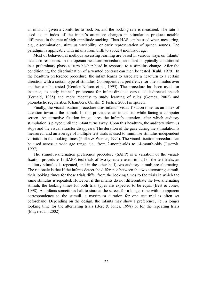an infant is given a comforter to suck on, and the sucking rate is measured. The rate is used as an index of the infant's attention: changes in stimulation produce notable difference in the rate of high-amplitude sucking. Thus HAS can be used when measuring, e.g., discrimination, stimulus variability, or early representation of speech sounds. The paradigm is applicable with infants from birth to about 4 months of age.

Most of behavioural methods assessing learning are based in various ways on infants' headturn responses. In the operant headturn procedure, an infant is typically conditioned in a preliminary phase to turn his/her head in response to a stimulus change. After the conditioning, the discrimination of a wanted contrast can then be tested (Kuhl, 1979). In the headturn preference procedure, the infant learns to associate a headturn to a certain direction with a certain type of stimulus. Consequently, a preference for one stimulus over another can be tested (Kemler Nelson et al., 1995). The procedure has been used, for instance, to study infants' preference for infant-directed versus adult-directed speech (Fernald, 1985) and more recently to study learning of rules (Gomez, 2002) and phonotactic regularities (Chambers, Onishi, & Fisher, 2003) in speech.

Finally, the visual-fixation procedure uses infants' visual fixation times as an index of attention towards the stimuli. In this procedure, an infant sits while facing a computer screen. An attractive fixation image lures the infant's attention, after which auditory stimulation is played until the infant turns away. Upon this headturn, the auditory stimulus stops and the visual attractor disappears. The duration of the gaze during the stimulation is measured, and an average of multiple test trials is used to minimise stimulus-independent variation in the looking times (Polka & Werker, 1994). The visual-fixation procedure can be used across a wide age range, i.e., from 2-month-olds to 14-month-olds (Jusczyk, 1997).

The stimulus-alternation preference procedure (SAPP) is a variation of the visualfixation procedure. In SAPP, test trials of two types are used: in half of the test trials, an auditory stimulus is repeated, and in the other half, two auditory stimuli are alternating. The rationale is that if the infants detect the difference between the two alternating stimuli, their looking times for those trials differ from the looking times to the trials in which the same stimulus is repeated. However, if the infants do not differentiate the two alternating stimuli, the looking times for both trial types are expected to be equal (Best  $\&$  Jones, 1998). As infants sometimes halt to stare at the screen for a longer time with no apparent correspondence to the stimuli, a maximum duration for one test trial is often set beforehand. Depending on the design, the infants may show a preference, i.e., a longer looking time for the alternating trials (Best  $& Jones, 1998$ ) or for the repeating trials (Maye et al., 2002).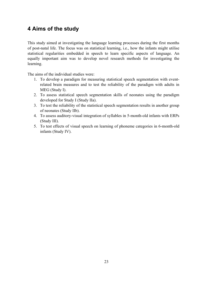### **4 Aims of the study**

This study aimed at investigating the language learning processes during the first months of post-natal life. The focus was on statistical learning, i.e., how the infants might utilise statistical regularities embedded in speech to learn specific aspects of language. An equally important aim was to develop novel research methods for investigating the learning.

The aims of the individual studies were:

- 1. To develop a paradigm for measuring statistical speech segmentation with eventrelated brain measures and to test the reliability of the paradigm with adults in MEG (Study I).
- 2. To assess statistical speech segmentation skills of neonates using the paradigm developed for Study I (Study IIa).
- 3. To test the reliability of the statistical speech segmentation results in another group of neonates (Study IIb).
- 4. To assess auditory-visual integration of syllables in 5-month-old infants with ERPs (Study III).
- 5. To test effects of visual speech on learning of phoneme categories in 6-month-old infants (Study IV).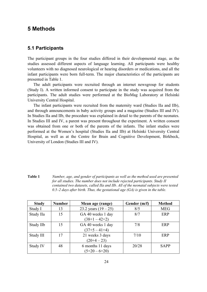### **5 Methods**

### **5.1 Participants**

The participant groups in the four studies differed in their developmental stage, as the studies assessed different aspects of language learning. All participants were healthy volunteers with no diagnosed neurological or hearing disorders or medications, and all the infant participants were born full-term. The major characteristics of the participants are presented in Table 1.

The adult participants were recruited through an internet newsgroup for students (Study I). A written informed consent to participate in the study was acquired from the participants. The adult studies were performed at the BioMag Laboratory at Helsinki University Central Hospital.

The infant participants were recruited from the maternity ward (Studies IIa and IIb), and through announcements in baby activity groups and a magazine (Studies III and IV). In Studies IIa and IIb, the procedure was explained in detail to the parents of the neonates. In Studies III and IV, a parent was present throughout the experiment. A written consent was obtained from one or both of the parents of the infants. The infant studies were performed at the Women's hospital (Studies IIa and IIb) at Helsinki University Central Hospital, as well as at the Centre for Brain and Cognitive Development, Birkbeck, University of London (Studies III and IV).

| Table 1 | Number, age, and gender of participants as well as the method used are presented     |
|---------|--------------------------------------------------------------------------------------|
|         | for all studies. The number does not include rejected participants. Study II         |
|         | contained two datasets, called IIa and IIb. All of the neonatal subjects were tested |
|         | 0.5–2 days after birth. Thus, the gestational age $(GA)$ is given in the table.      |

| <b>Study</b> | <b>Number</b> | Mean age (range)       | Gender (m/f) | <b>Method</b> |
|--------------|---------------|------------------------|--------------|---------------|
| Study I      | 13            | 23.2 years $(19 - 25)$ | 8/5          | <b>MEG</b>    |
| Study IIa    | 15            | GA 40 weeks 1 day      | 8/7          | ERP           |
|              |               | $(38+1-42+2)$          |              |               |
| Study IIb    | 15            | GA 40 weeks 1 day      | 7/8          | ERP           |
|              |               | $(37+5-41+4)$          |              |               |
| Study III    | 17            | 21 weeks 3 days        | 7/10         | ERP           |
|              |               | $(20+4-23)$            |              |               |
| Study IV     | 48            | 6 months 11 days       | 20/28        | <b>SAPP</b>   |
|              |               | $(5+20-6+20)$          |              |               |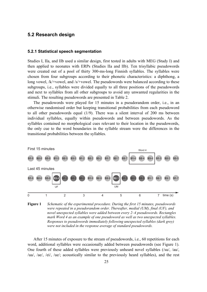### **5.2 Research design**

#### **5.2.1 Statistical speech segmentation**

Studies I, IIa, and IIb used a similar design, first tested in adults with MEG (Study I) and then applied to neonates with ERPs (Studies IIa and IIb). Ten trisyllabic pseudowords were created out of a pool of thirty 300-ms-long Finnish syllables. The syllables were chosen from four subgroups according to their phonetic characteristics: a diphthong, a long vowel, /k/+vowel, and /s/+vowel. The pseudowords were balanced according to these subgroups, i.e., syllables were divided equally to all three positions of the pseudowords and next to syllables from all other subgroups to avoid any unwanted regularities in the stimuli. The resulting pseudowords are presented in Table 2.

The pseudowords were played for 15 minutes in a pseudorandom order, i.e., in an otherwise randomised order but keeping transitional probabilities from each pseudoword to all other pseudowords equal (1/9). There was a silent interval of 200 ms between individual syllables, equally within pseudowords and between pseudowords. As the syllables contained no morphological cues relevant to their location in the pseudowords, the only cue to the word boundaries in the syllable stream were the differences in the transitional probabilities between the syllables.



**Figure 1** *Schematic of the experimental procedure. During the first 15 minutes, pseudowords were repeated in a pseudorandom order. Thereafter, medial (UM), final (UF), and novel unexpected syllables were added between every 2–4 pseudowords. Rectangles mark Word 4 as an example of one pseudoword as well as two unexpected syllables. Responses to pseudowords immediately following unexpected syllables (dark grey) were not included in the response average of standard pseudowords.* 

After 15 minutes of exposure to the stream of pseudowords, i.e., 60 repetitions for each word, additional syllables were occasionally added between pseudowords (see Figure 1). One fourth of these added syllables were previously unheard novel syllables (/su/, /au/, /ua/, /ae/, /ei/, /ue/; acoustically similar to the previously heard syllables), and the rest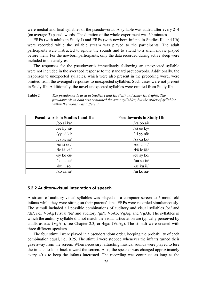were medial and final syllables of the pseudowords. A syllable was added after every 2–4 (on average 3) pseudowords. The duration of the whole experiment was 60 minutes.

ERFs (with adults in Study I) and ERPs (with newborn infants in Studies IIa and IIb) were recorded while the syllable stream was played to the participants. The adult participants were instructed to ignore the sounds and to attend to a silent movie played before them. For the newborn participants, only the data recorded during active sleep were included in the analyses.

The responses for the pseudowords immediately following an unexpected syllable were not included in the averaged response to the standard pseudowords. Additionally, the responses to unexpected syllables, which were also present in the preceding word, were omitted from the averaged responses to unexpected syllables. Such cases were not present in Study IIb. Additionally, the novel unexpected syllables were omitted from Study IIb.

**Table 2** *The pseudowords used in Studies I and IIa (left) and Study IIb (right). The pseudowords in both sets contained the same syllables, but the order of syllables within the words was different.* 

| <b>Pseudowords in Studies I and IIa</b> | <b>Pseudowords in Study IIb</b> |
|-----------------------------------------|---------------------------------|
| /öö ai ka/                              | /ka öö ai/                      |
| /ee ky sä/                              | /sä ee ky/                      |
| /yy sö ki/                              | /ki yy sö/                      |
| /ea ke sa/                              | /sa ea ke/                      |
| $/ui$ si oo $/$                         | $/$ oo ui si $/$                |
| /ie ää kä/                              | /kä ie ää/                      |
| /sy kö eu/                              | /eu sy kö/                      |
| /so ia uu/                              | /uu so $ia/$                    |
| /ku ii se/                              | /se ku ii/                      |
| /ko aa iu/                              | /iu ko aa/                      |

#### **5.2.2 Auditory-visual integration of speech**

A stream of auditory-visual syllables was played on a computer screen to 5-month-old infants while they were sitting on their parents' laps. ERPs were recorded simultaneously. The stimuli included all possible combinations of auditory and visual syllables /ba/ and /da/, i.e., VbAg (visual /ba/ and auditory /ga/), VbAb, VgAg, and VgAb. The syllables in which the auditory syllable did not match the visual articulation are typically perceived by adults as /da/ (VgAb), see Chapter 2.3, or /bga/ (VdAg). The stimuli were created with three different speakers.

The four stimuli were played in a pseudorandom order, keeping the probability of each combination equal, i.e., 0.25. The stimuli were stopped whenever the infants turned their gaze away from the screen. When necessary, attracting musical sounds were played to lure the infants to look back toward the screen. Also, the speaker was changed approximately every 40 s to keep the infants interested. The recording was continued as long as the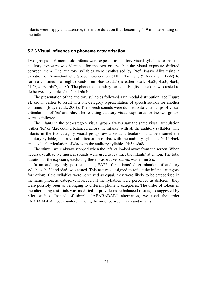infants were happy and attentive, the entire duration thus becoming 4–9 min depending on the infant.

#### **5.2.3 Visual influence on phoneme categorisation**

Two groups of 6-month-old infants were exposed to auditory-visual syllables so that the auditory exposure was identical for the two groups, but the visual exposure differed between them. The auditory syllables were synthesised by Prof. Paavo Alku using a variation of Semi-Synthetic Speech Generation (Alku, Tiitinen, & Näätänen, 1999) to form a continuum of eight sounds from /ba/ to /da/ (hereafter, /ba1/, /ba2/, /ba3/, /ba4/, /da5/, /da6/, /da7/, /da8/). The phoneme boundary for adult English speakers was tested to lie between syllables /ba4/ and /da5/.

The presentation of the auditory syllables followed a unimodal distribution (see Figure 2), shown earlier to result in a one-category representation of speech sounds for another continuum (Maye et al., 2002). The speech sounds were dubbed onto video clips of visual articulations of /ba/ and /da/. The resulting auditory-visual exposures for the two groups were as follows:

The infants in the one-category visual group always saw the same visual articulation (either /ba/ or /da/, counterbalanced across the infants) with all the auditory syllables. The infants in the two-category visual group saw a visual articulation that best suited the auditory syllable, i.e., a visual articulation of /ba/ with the auditory syllables /ba1/–/ba4/ and a visual articulation of /da/ with the auditory syllables /da5/–/da8/.

The stimuli were always stopped when the infants looked away from the screen. When necessary, attractive musical sounds were used to reattract the infants' attention. The total duration of the exposure, excluding these prospective pauses, was 2 min 5 s.

In an auditory-only post-test using SAPP, the infants' discrimination of auditory syllables */ba3/ and /da6/ was tested.* This test was designed to reflect the infants' category formation: if the syllables were perceived as equal, they were likely to be categorised in the same phonetic category. However, if the syllables were perceived as different, they were possibly seen as belonging to different phonetic categories. The order of tokens in the alternating test trials was modified to provide more balanced results, as suggested by pilot studies. Instead of simple "ABABABAB" alternation, we used the order "ABBAABBA", but counterbalancing the order between trials and infants.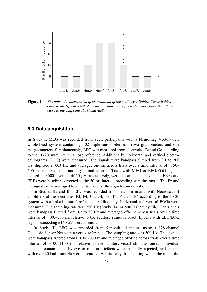

**Figure 2** *The unimodal distribution of presentation of the auditory syllables. The syllables close to the typical adult phoneme boundary were presented more often than those close to the endpoints /ba1/ and /da8/.* 

#### **5.3 Data acquisition**

In Study I, MEG was recorded from adult participants with a Neuromag Vector-view whole-head system containing 102 triple-sensor elements (two gradiometers and one magnetometer). Simultaneously, EEG was measured from electrodes Fz and Cz according to the 10-20 system with a nose reference. Additionally, horizontal and vertical electrooculograms (EOG) were measured. The signals were bandpass filtered from 0.1 to 200 Hz, digitised at 603 Hz, and averaged on-line across trials over a time interval of  $-150-$ 500 ms relative to the auditory stimulus onset. Trials with MEG or EEG/EOG signals exceeding 3000 fT/cm or  $\pm 150 \mu V$ , respectively, were discarded. The averaged ERFs and ERPs were baseline corrected to the 50-ms interval preceding stimulus onset. The Fz and Cz signals were averaged together to increase the signal-to-noise ratio.

In Studies IIa and IIb, EEG was recorded from newborn infants with Neuroscan II amplifiers at the electrodes F3, F4, C3, C4, T3, T4, P3, and P4 according to the 10-20 system with a linked mastoid reference. Additionally, horizontal and vertical EOGs were measured. The sampling rate was 250 Hz (Study IIa) or 500 Hz (Study IIb). The signals were bandpass filtered from 0.2 to 30 Hz and averaged off-line across trials over a time interval of −100–500 ms relative to the auditory stimulus onset. Epochs with EEG/EOG signals exceeding  $\pm 150$  uV were discarded.

In Study III, EEG was recorded from 5-month-old infants using a 128-channel Geodesic Sensor Net with a vertex reference. The sampling rate was 500 Hz. The signals were bandpass filtered from 0.1 to 200 Hz and averaged off-line across trials over a time interval of −100–1100 ms relative to the auditory-visual stimulus onset. Individual channels contaminated by eye or motion artefacts were manually rejected, and epochs with over 20 bad channels were discarded. Additionally, trials during which the infant did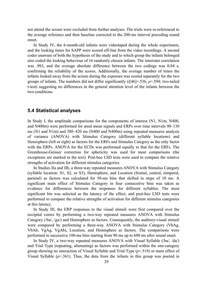not attend the screen were excluded from further analyses. The trials were re-referenced to the average reference and then baseline corrected to the 200-ms interval preceding sound onset.

In Study IV, the 6-month-old infants were videotaped during the whole experiment, and the looking times for SAPP were scored off-line from the video recordings. A second coder unaware of both the hypothesis of the study and to which group the infants belonged also coded the looking behaviour of 16 randomly chosen infants. The interrater correlation was .983, and the average absolute difference between the two codings was 0.04 s, confirming the reliability of the scores. Additionally, the average number of times the infants looked away from the screen during the exposure was scored separately for the two groups of infants. The numbers did not differ significantly (*t*[46]=.536, *p*=.594; two-tailed t-test) suggesting no differences in the general attention level of the infants between the two conditions.

#### **5.4 Statistical analyses**

In Study I, the amplitude comparisons for the components of interest (N1, N1m, N400, and N400m) were performed for areal mean signals and ERPs over time intervals 90–130 ms (N1 and N1m) and 380–420 ms (N400 and N400m) using repeated measures analysis of variance (ANOVA) with Stimulus Category (different syllable locations) and Hemisphere (left or right) as factors for the ERFs and Stimulus Category as the only factor with the ERPs. ANOVA for the ECDs was performed equally to that for the ERFs. The Greenhouse-Geisser correction for sphericity was used for most comparisons (the exceptions are marked in the text). Post-hoc LSD tests were used to compare the relative strengths of activation for different stimulus categories.

In Studies IIa and IIb, a three-way repeated measures ANOVA with Stimulus Category (syllable location: S1, S2, or S3), Hemisphere, and Location (frontal, central, temporal, parietal) as factors was calculated for 50-ms bins that shifted in steps of 10 ms. A significant main effect of Stimulus Category in four consecutive bins was taken as evidence for differences between the responses for different syllables. The most significant bin was selected as the latency of the effect, and post-hoc LSD tests were performed to compare the relative strengths of activation for different stimulus categories at this latency.

In Study III, the ERP responses to the visual stimuli were first compared over the occipital cortex by performing a two-way repeated measures ANOVA with Stimulus Category (/ba/, /ga/) and Hemisphere as factors. Consequently, the auditory-visual stimuli were compared by performing a three-way ANOVA with Stimulus Category (VbAg, VbAb, VgAg, VgAb), Location, and Hemisphere as factors. The comparisons were performed in successive 100-ms bins starting from 90 ms up to 690 ms after sound onset.

In Study IV, a two-way repeated measures ANOVA with Visual Syllable (/ba/, /da/) and Trial Type (repeating, alternating) as factors was performed within the one-category group showing no interaction of Visual Syllable and Trial Type (*p*<.519) or main effect of Visual Syllable  $(p< .361)$ . Thus, the data from the infants in this group was pooled in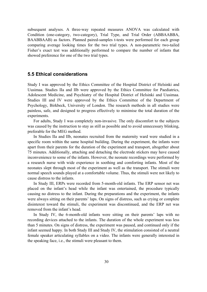subsequent analyses. A three-way repeated measures ANOVA was calculated with Condition (one-category, two-category), Trial Type, and Trial Order (ABBAABBA, BAABBAAB) as factors. Planned paired-samples t-tests were performed for each group comparing average looking times for the two trial types. A non-parametric two-tailed Fisher's exact test was additionally performed to compare the number of infants that showed preference for one of the two trial types.

#### **5.5 Ethical considerations**

Study I was approved by the Ethics Committee of the Hospital District of Helsinki and Uusimaa. Studies IIa and IIb were approved by the Ethics Committee for Paediatrics, Adolescent Medicine, and Psychiatry of the Hospital District of Helsinki and Uusimaa. Studies III and IV were approved by the Ethics Committee of the Department of Psychology, Birkbeck, University of London. The research methods in all studies were painless, safe, and designed to progress effectively to minimise the total duration of the experiments.

For adults, Study I was completely non-invasive. The only discomfort to the subjects was caused by the instruction to stay as still as possible and to avoid unnecessary blinking, preferable for the MEG method.

In Studies IIa and IIb, neonates recruited from the maternity ward were studied in a specific room within the same hospital building. During the experiment, the infants were apart from their parents for the duration of the experiment and transport, altogether about 75 minutes. Additionally, attaching and detaching the electrode stickers may have caused inconvenience to some of the infants. However, the neonate recordings were performed by a research nurse with wide experience in soothing and comforting infants. Most of the neonates slept through most of the experiment as well as the transport. The stimuli were normal speech sounds played at a comfortable volume. Thus, the stimuli were not likely to cause distress to the infants.

In Study III, ERPs were recorded from 5-month-old infants. The ERP sensor net was placed on the infant's head while the infant was entertained, the procedure typically causing no distress to the infant. During the preparations and the experiment, the infants were always sitting on their parents' laps. On signs of distress, such as crying or complete disinterest toward the stimuli, the experiment was discontinued, and the ERP net was removed from the infant's head.

In Study IV, the 6-month-old infants were sitting on their parents' laps with no recording devices attached to the infants. The duration of the whole experiment was less than 5 minutes. On signs of distress, the experiment was paused, and continued only if the infant seemed happy. In both Study III and Study IV, the stimulation consisted of a neutral female speaker articulating syllables on a video. The infants were generally interested in the speaking face, i.e., the stimuli were pleasant to them.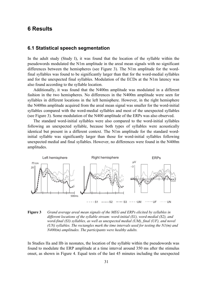### **6 Results**

### **6.1 Statistical speech segmentation**

In the adult study (Study I), it was found that the location of the syllable within the pseudowords modulated the N1m amplitude in the areal mean signals with no significant differences between the hemispheres (see Figure 3). The N1m amplitude for the wordfinal syllables was found to be significantly larger than that for the word-medial syllables and for the unexpected final syllables. Modulation of the ECDs at the N1m latency was also found according to the syllable location.

Additionally, it was found that the N400m amplitude was modulated in a different fashion in the two hemispheres. No differences in the N400m amplitude were seen for syllables in different locations in the left hemisphere. However, in the right hemisphere the N400m amplitude acquired from the areal mean signal was smaller for the word-initial syllables compared with the word-medial syllables and most of the unexpected syllables (see Figure 3). Some modulation of the N400 amplitude of the ERPs was also observed.

The standard word-initial syllables were also compared to the word-initial syllables following an unexpected syllable, because both types of syllables were acoustically identical but present in a different context. The N1m amplitude for the standard wordinitial syllable was significantly larger than those for word-initial syllables following unexpected medial and final syllables. However, no differences were found in the N400m amplitudes.



**Figure 3** *Grand average areal mean signals of the MEG and ERPs elicited by syllables in different locations of the syllable stream: word-initial (S1), word-medial (S2), and word-final (S3) syllables, as well as unexpected medial (UM), final (UF), and novel (UN) syllables. The rectangles mark the time intervals used for testing the N1(m) and N400(m) amplitudes. The participants were healthy adults.* 

In Studies IIa and IIb in neonates, the location of the syllable within the pseudowords was found to modulate the ERP amplitude at a time interval around 350 ms after the stimulus onset, as shown in Figure 4. Equal tests of the last 45 minutes including the unexpected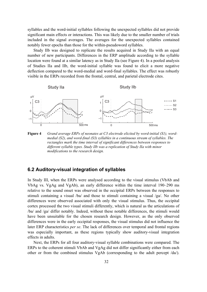syllables and the word-initial syllables following the unexpected syllables did not provide significant main effects or interactions. This was likely due to the smaller number of trials included in the signal averages. The averages for the unexpected syllables contained notably fewer epochs than those for the within-pseudoword syllables.

Study IIb was designed to replicate the results acquired in Study IIa with an equal number of new participants. Differences in the ERP amplitude according to the syllable location were found at a similar latency as in Study IIa (see Figure 4). In a pooled analysis of Studies IIa and IIb, the word-initial syllable was found to elicit a more negative deflection compared to the word-medial and word-final syllables. The effect was robustly visible in the ERPs recorded from the frontal, central, and parietal electrode cites.



**Figure 4** *Grand average ERPs of neonates at C3 electrode elicited by word-initial (S1), wordmedial (S2), and word-final (S3) syllables in a continuous stream of syllables. The rectangles mark the time interval of significant differences between responses to different syllable types. Study IIb was a replication of Study IIa with minor modifications to the research design.* 

### **6.2 Auditory-visual integration of syllables**

In Study III, when the ERPs were analysed according to the visual stimulus (VbAb and VbAg vs. VgAg and VgAb), an early difference within the time interval 190–290 ms relative to the sound onset was observed in the occipital ERPs between the responses to stimuli containing a visual /ba/ and those to stimuli containing a visual /ga/. No other differences were observed associated with only the visual stimulus. Thus, the occipital cortex processed the two visual stimuli differently, which is natural as the articulations of /ba/ and /ga/ differ notably. Indeed, without these notable differences, the stimuli would have been unsuitable for the chosen research design. However, as the only observed differences were in the early occipital responses, the visual stimulus did not influence the later ERP characteristics *per se*. The lack of differences over temporal and frontal regions was especially important, as these regions typically show auditory-visual integration effects in adults.

Next, the ERPs for all four auditory-visual syllable combinations were compared. The ERPs to the coherent stimuli VbAb and VgAg did not differ significantly either from each other or from the combined stimulus VgAb (corresponding to the adult percept /da/).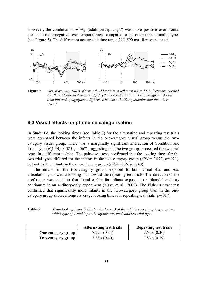However, the combination VbAg (adult percept /bga/) was more positive over frontal areas and more negative over temporal areas compared to the other three stimulus types (see Figure 5). The differences occurred at time range 290–590 ms after sound onset.



**Figure 5** *Grand average ERPs of 5-month-old infants at left mastoid and F4 electrodes elicited by all auditoryvisual /ba/ and /ga/ syllable combinations. The rectangle marks the time interval of significant difference between the VbAg stimulus and the other stimuli.* 

### **6.3 Visual effects on phoneme categorisation**

In Study IV, the looking times (see Table 3) for the alternating and repeating test trials were compared between the infants in the one-category visual group versus the twocategory visual group. There was a marginally significant interaction of Condition and Trial Type (*F*[1,44]=3.525, *p*=.067), suggesting that the two groups processed the two trial types in a different fashion. The pairwise t-tests confirmed that the looking times for the two trial types differed for the infants in the two-category group (*t*[23]=-2.477, *p*=.021), but not for the infants in the one-category group (*t*[23]=.336, *p*=.740).

The infants in the two-category group, exposed to both visual /ba/ and /da/ articulations, showed a looking bias toward the repeating test trials. The direction of the preference was equal to that found earlier for infants exposed to a bimodal auditory continuum in an auditory-only experiment (Maye et al., 2002). The Fisher's exact test confirmed that significantly more infants in the two-category group than in the onecategory group showed longer average looking times for repeating test trials  $(p=017)$ .

| Table 3 | Mean looking times (with standard error) of the infants according to group, i.e., |
|---------|-----------------------------------------------------------------------------------|
|         | which type of visual input the infants received, and test trial type.             |

|                           | <b>Alternating test trials</b> | <b>Repeating test trials</b> |
|---------------------------|--------------------------------|------------------------------|
| <b>One-category group</b> | $7.72$ s $(0.34)$              | 7.64 s $(0.36)$              |
| Two-category group        | $7.38$ s $(0.40)$              | 7.83 s $(0.39)$              |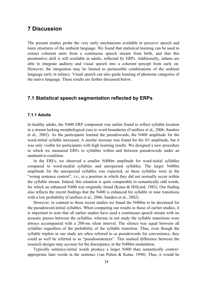### **7 Discussion**

The present studies probe the very early mechanisms available to perceive speech and learn structures of the ambient language. We found that statistical learning can be used to extract coherent units from a continuous speech stream from birth, and that this preattentive skill is still available in adults, reflected by ERPs. Additionally, infants are able to integrate auditory and visual speech into a coherent percept from early on. However, the integration may be limited to permissible combinations of the ambient language early in infancy. Visual speech can also guide learning of phoneme categories of the native language. These results are further discussed below.

### **7.1 Statistical speech segmentation reflected by ERPs**

#### **7.1.1 Adults**

In healthy adults, the N400 ERP component was earlier found to reflect syllable location in a stream lacking morphological cues to word boundaries (Cunillera et al., 2006; Sanders et al., 2002). As the participants learned the pseudowords, the N400 amplitude for the word-initial syllable increased. A similar increase was found for the N1 amplitude, but it was only visible for participants with high learning results. We designed a new procedure in which we measured ERFs to syllables within and between pseudowords under an unattentive condition.

In the ERFs, we observed a smaller N400m amplitude for word-initial syllables compared to word-medial syllables and unexpected syllables. The larger N400m amplitude for the unexpected syllables was expected, as these syllables were in the "wrong sentence context", i.e., in a position in which they did not normally occur within the syllable stream. Indeed, this situation is quite comparable to semantically odd words, for which an enhanced N400 was originally found (Kutas & Hillyard, 1983). Our finding also reflects the recent findings that the N400 is enhanced for syllable or tone transitions with a low probability (Cunillera et al., 2006; Sanders et al., 2002).

However, in contrast to these recent studies we found the N400m to be decreased for the pseudoword-initial syllables. When comparing our results to those of earlier studies, it is important to note that all earlier studies have used a continuous speech stream with no acoustic pauses between the syllables, whereas in our study the syllable transitions were always accompanied with a 200-ms silent interval. The silence was equal between all syllables regardless of the probability of the syllable transition. Thus, even though the syllable triplets in our study are often referred to as pseudowords for convenience, they could as well be referred to as "pseudosentences". This marked difference between the research designs may account for the discrepancy in the N400m modulation.

Typically sentence-initial words produce a larger N400 than semantically contextappropriate later words in the sentence (van Petten & Kutas, 1990). Thus, it would be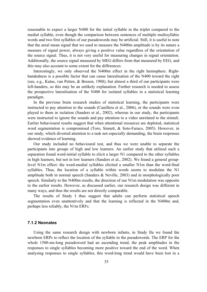reasonable to expect a larger N400 for the initial syllable in the triplet compared to the medial syllable, even though the comparison between sentences of multiple multisyllabic words and two first syllables of our pseudowords may be artificial. Still, it is useful to note that the areal mean signal that we used to measure the N400m amplitude is by its nature a measure of signal power, always giving a positive value regardless of the orientation of the source signal. Thus, it is not very useful for measuring changes in signal orientation. Additionally, the source signal measured by MEG differs from that measured by EEG, and this may also account to some extent for the differences.

Interestingly, we only observed the N400m effect in the right hemisphere. Righthandedness is a possible factor that can cause lateralisation of the N400 toward the right (see, e.g., Kutas, van Petten, & Besson, 1988), but almost a third of our participants were left-handers, so this may be an unlikely explanation. Further research is needed to assess the prospective lateralisation of the N400 for isolated syllables in a statistical learning paradigm.

In the previous brain research studies of statistical learning, the participants were instructed to pay attention to the sounds (Cunillera et al., 2006), or the sounds were even played to them in isolation (Sanders et al., 2002), whereas in our study, the participants were instructed to ignore the sounds and pay attention to a video unrelated to the stimuli. Earlier behavioural results suggest that when attentional resources are depleted, statistical word segmentation is compromised (Toro, Sinnett, & Soto-Faraco, 2005). However, in our study, which diverted attention to a task not especially demanding, the brain responses showed evidence of learning.

Our study included no behavioural test, and thus we were unable to separate the participants into groups of high and low learners. An earlier study that utilised such a separation found word-initial syllable to elicit a larger N1 compared to the other syllables in high learners, but not in low learners (Sanders et al., 2002). We found a general grouplevel N1m effect: the word-medial syllables elicited a smaller N1m than the word-final syllables. Thus, the location of a syllable within words seems to modulate the N1 amplitude both in normal speech (Sanders & Neville, 2003) and in morphologically poor speech. Similarly to the N400m results, the direction of our N1m modulation was opposite to the earlier results. However, as discussed earlier, our research design was different in many ways, and thus the results are not directly comparable.

The results of Study I thus suggest that adults can perform statistical speech segmentation even unattentively and that the learning is reflected in the N400m and, perhaps less reliably, the N1m ERFs.

#### **7.1.2 Neonates**

Using the same research design with newborn infants, in Study IIa we found the newborn ERPs to reflect the location of the syllable in the pseudowords. The ERP for the whole 1500-ms-long pseudoword had an ascending trend, the peak amplitudes in the responses to single syllables becoming more positive toward the end of the word. When analysing responses to single syllables, this word-long trend would have been lost in a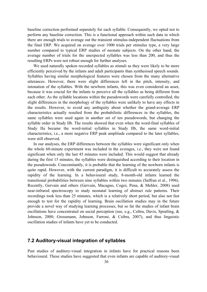baseline correction performed separately for each syllable. Consequently, we opted not to perform any baseline correction. This is a functional approach within such data in which there are enough trials to average out the transient stimulus-independent fluctuations from the final ERP. We acquired on average over 1000 trials per stimulus type, a very large number compared to typical ERP studies of neonate subjects. On the other hand, the average number of trials for the unexpected syllables was less than 200, and thus the resulting ERPs were not robust enough for further analyses.

We used naturally spoken recorded syllables as stimuli as they were likely to be more efficiently perceived by the infants and adult participants than synthesised speech sounds. Syllables having similar morphological features were chosen from the many alternative utterances. However, there were slight differences left in the pitch, intensity, and intonation of the syllables. With the newborn infants, this was even considered an asset, because it was crucial for the infants to perceive all the syllables as being different from each other. As the syllable locations within the pseudowords were carefully controlled, the slight differences in the morphology of the syllables were unlikely to have any effects in the results. However, to avoid any ambiguity about whether the grand-average ERP characteristics actually resulted from the probabilistic differences in the syllables, the same syllables were used again in another set of ten pseudowords, but changing the syllable order in Study IIb. The results showed that even when the word-final syllables of Study IIa became the word-initial syllables in Study IIb, the same word-initial characteristics, i.e., a more negative ERP peak amplitude compared to the later syllables, were still observed.

In our analyses, the ERP differences between the syllables were significant only when the whole 60-minute experiment was included in the averages, i.e., they were not found significant when only the last 45 minutes were included. This would suggest that already during the first 15 minutes, the syllables were distinguished according to their location in the pseudowords. Concomitantly, it is probable that the learning of the newborn infants is quite rapid. However, with the current paradigm, it is difficult to accurately assess the rapidity of the learning. In a behavioural study, 8-month-old infants learned the transitional probabilities between nine syllables within two minutes (Saffran et al., 1996). Recently, Gervain and others (Gervain, Macagno, Cogoi, Pena, & Mehler, 2008) used near-infrared spectroscopy to study neonatal learning of abstract rule patterns. Their recordings took less than 25 minutes, which is a relatively short period, but also not fast enough to test for the rapidity of learning. Brain oscillation studies may in the future provide a novel way of studying learning processes, but so far the studies of infant brain oscillations have concentrated on social perception (see, e.g., Csibra, Davis, Spratling, & Johnson, 2000; Grossmann, Johnson, Farroni, & Csibra, 2007), and thus linguistic oscillation studies of infants have yet to be conducted.

### **7.2 Auditory-visual integration of syllables**

Past studies of auditory-visual integration in infants have for practical reasons been behavioural. These studies have suggested that even infants are capable of auditory-visual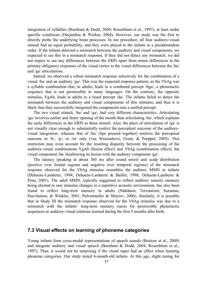integration of syllables (Burnham & Dodd, 2004; Rosenblum et al., 1997), at least under specific conditions (Desjardins & Werker, 2004). However, our study was the first to directly probe the underlying brain processes. In our procedure, all four auditory-visual stimuli had an equal probability, and they were played to the infants in a pseudorandom order. If the infants detected a mismatch between the auditory and visual components, we expected to see this in a mismatch response. If they did not detect any mismatch, we did not expect to see any differences between the ERPs apart from minor differences in the primary obligatory responses of the visual cortex to the visual differences between the /ba/ and /ga/ articulations.

Indeed, we observed a robust mismatch response selectively for the combination of a visual /ba/ and an auditory /ga/. This was the expected response pattern, as the VbAg was a syllable combination that, in adults, leads to a combined percept /bga/, a phonotactic sequence that is not permissible in many languages. On the contrary, the opposite stimulus, VgAb, leads in adults to a fused percept /da/. The infants failed to detect the mismatch between the auditory and visual components of this stimulus, and thus it is likely that they successfully integrated the components into a unified percept.

The two visual stimuli, /ba/ and /ga/, had very different characteristics. Articulating /ga/ involves earlier and faster opening of the mouth than articulating /ba/, which explains the early differences in the ERPs to these stimuli. Also, the place of articulation of /ga/ is not visually clear enough to substantially restrict the perceptual outcome of the auditoryvisual integration, whereas that of /ba/ (lips pressed together) restricts the perceptual outcome to /b/, /p/, or /m/ only (van Wassenhove, Grant, & Poeppel, 2005). This restriction may even account for the resulting disparity between the processing of the auditory-visual combinations VgAb (fusion effect) and VbAg (combination effect), the visual component /ba/ disallowing its fusion with the auditory component /ga/.

The latency (peaking at about 360 ms after sound onset) and scalp distribution (positive over frontal regions and negative over temporal regions) of the mismatch response observed for the VbAg stimulus resembles the auditory MMN in infants (Dehaene-Lambertz, 1994; Dehaene-Lambertz & Baillet, 1998; Dehaene-Lambertz & Pena, 2001). The adult MMN, typically suggested to reflect auditory sensory memory being elicited to rare stimulus changes in a repetitive acoustic environment, has also been found to reflect long-term memory in adults (Näätänen, Tervaniemi, Sussman, Paavilainen, & Winkler, 2001; Pulvermuller & Shtyrov, 2006). Similarly, it is possible that in Study III the mismatch response observed for the VbAg stimulus was due to a mismatch with the infants' long-term memory traces for permissible phonotactic sequences or auditory-visual relations learned during the first 5 months after birth.

### **7.3 Visual effects on learning of phoneme categories**

Young infants form cross-modal representations of speech sounds (Bristow et al., 2009) and integrate auditory and visual speech (Burnham & Dodd, 2004; Rosenblum et al., 1997). Thus, it would not be surprising if the visual input had an effect when learning phoneme categories. Our study tested 6-month-old infants. At this age, slight tuning for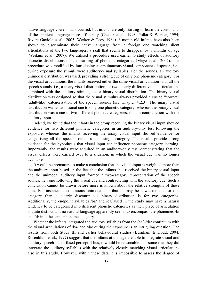native-language vowels has occurred, but infants are only starting to learn the consonants of the ambient language more efficiently (Cheour et al., 1998; Polka & Werker, 1994; Rivera-Gaxiola et al., 2005; Werker & Tees, 1984). 6-month-old infants have also been shown to discriminate their native language from a foreign one watching silent articulations of the two languages, a skill that seems to disappear by 8 months of age (Weikum et al., 2007). We utilised a procedure used earlier to study effects of auditory phonetic distributions on the learning of phoneme categories (Maye et al., 2002). The procedure was modified by introducing a simultaneous visual component of speech, i.e., during exposure the stimuli were auditory-visual syllables. For the sounds, an auditory unimodal distribution was used, providing a strong cue of only one phoneme category. For the visual articulations, the infants received either the same visual articulation with all the speech sounds, i.e., a unary visual distribution, or two clearly different visual articulations combined with the auditory stimuli, i.e., a binary visual distribution. The binary visual distribution was designed so that the visual stimulus always provided a cue to "correct" (adult-like) categorisation of the speech sounds (see Chapter 4.2.3). The unary visual distribution was an additional cue to only one phonetic category, whereas the binary visual distribution was a cue to two different phonetic categories, thus in contradiction with the auditory input.

Indeed, we found that the infants in the group receiving the binary visual input showed evidence for two different phonetic categories in an auditory-only test following the exposure, whereas the infants receiving the unary visual input showed evidence for categorising all the speech sounds to one single category. The results provide strong evidence for the hypothesis that visual input can influence phoneme category learning. Importantly, the results were acquired in an auditory-only test, demonstrating that the visual effects were carried over to a situation, in which the visual cue was no longer available.

It would be premature to make a conclusion that the visual input is weighted more than the auditory input based on the fact that the infants that received the binary visual input and the unimodal auditory input formed a two-category representation of the speech sounds, i.e., one following the visual cue and contradicting with the auditory cue. Such a conclusion cannot be drawn before more is known about the relative strengths of these cues. For instance, a continuous unimodal distribution may be a weaker cue for one category than a clearly discontinuous binary distribution is for two categories. Additionally, the endpoint syllables /ba/ and /da/ used in the study may have a natural tendency to be categorised into different phonetic categories as their place of articulation is quite distinct and no natural language apparently seems to encompass the phonemes /b/ and /d/ into the same phoneme category.

Whether the infants integrated the auditory syllables from the /ba/–/da/ continuum with the visual articulations of /ba/ and /da/ during the exposure is an intriguing question. The results from both Study III and earlier behavioural studies (Burnham & Dodd, 2004; Rosenblum et al., 1997) suggest that the infants at this age are able to integrate visual and auditory speech into a fused percept. Thus, it would be reasonable to assume that they did integrate the auditory syllables with the relatively closely matching visual articulations also in this study. However, within these data it is impossible to assess the degree of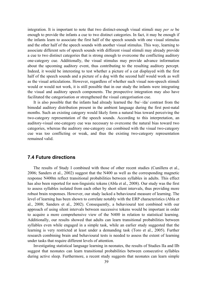integration. It is important to note that two distinct-enough visual stimuli may *per se* be enough to provide the infants a cue to two distinct categories. In fact, it may be enough if the infants learn to associate the first half of the speech sounds with one visual stimulus and the other half of the speech sounds with another visual stimulus. This way, learning to associate different sets of speech sounds with different visual stimuli may already provide a cue to two distinct categories that is strong enough to overcome the conflicting auditory one-category cue. Additionally, the visual stimulus may provide advance information about the upcoming auditory event, thus contributing to the resulting auditory percept. Indeed, it would be interesting to test whether a picture of a cat displayed with the first half of the speech sounds and a picture of a dog with the second half would work as well as the visual articulations. However, regardless of whether such visual non-speech stimuli would or would not work, it is still possible that in our study the infants were integrating the visual and auditory speech components. The prospective integration may also have facilitated the categorisation or strengthened the visual categorisation cue.

It is also possible that the infants had already learned the /ba/–/da/ contrast from the bimodal auditory distribution present in the ambient language during the first post-natal months. Such an existing category would likely form a natural bias toward perceiving the two-category representation of the speech sounds. According to this interpretation, an auditory-visual one-category cue was necessary to overcome the natural bias toward two categories, whereas the auditory one-category cue combined with the visual two-category cue was too conflicting or weak, and thus the existing two-category representation remained valid.

### **7.4 Future directions**

The results of Study I combined with those of other recent studies (Cunillera et al., 2006; Sanders et al., 2002) suggest that the N400 as well as the corresponding magnetic response N400m reflect transitional probabilities between syllables in adults. This effect has also been reported for non-linguistic tokens (Abla et al., 2008). Our study was the first to assess syllables isolated from each other by short silent intervals, thus providing more robust brain responses. However, our study lacked a behavioural measure of learning. The level of learning has been shown to correlate notably with the ERP characteristics (Abla et al., 2008; Sanders et al., 2002). Consequently, a behavioural test combined with our approach of using silent intervals between successive tokens would be important in order to acquire a more comprehensive view of the N400 in relation to statistical learning. Additionally, our results showed that adults can learn transitional probabilities between syllables even while engaged in a simple task, while an earlier study suggested that the learning is very restricted at least under a demanding task (Toro et al., 2005). Further research combining brain and behavioural tests is needed to assess the extent of learning under tasks that require different levels of attention.

Investigating statistical language learning in neonates, the results of Studies IIa and IIb suggest that neonates can learn transitional probabilities between consecutive syllables during active sleep. Furthermore, a recent study suggests that neonates can learn simple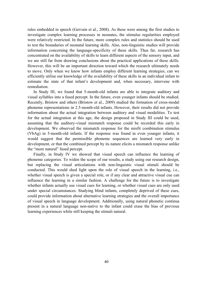rules embedded in speech (Gervain et al., 2008). As these were among the first studies to investigate complex learning processes in neonates, the stimulus regularities employed were relatively restricted. In the future, more complex rules and statistics should be used to test the boundaries of neonatal learning skills. Also, non-linguistic studies will provide information concerning the language-specificity of these skills. Thus far, research has concentrated on the availability of skills to learn different aspects of the sensory input, and we are still far from drawing conclusions about the practical applications of these skills. However, this will be an important direction toward which the research ultimately needs to move. Only when we know how infants employ different learning strategies, can we efficiently utilise our knowledge of the availability of these skills in an individual infant to estimate the state of that infant's development and, when necessary, intervene with remediation.

In Study III, we found that 5-month-old infants are able to integrate auditory and visual syllables into a fused percept. In the future, even younger infants should be studied. Recently, Bristow and others (Bristow et al., 2009) studied the formation of cross-modal phoneme representations in 2.5-month-old infants. However, their results did not provide information about the actual integration between auditory and visual modalities. To test for the actual integration at this age, the design proposed in Study III could be used, assuming that the auditory-visual mismatch response could be recorded this early in development. We observed the mismatch response for the misfit combination stimulus (VbAg) in 5-month-old infants. If the response was found in even younger infants, it would suggest that the permissible phoneme sequences are learned very early in development, or that the combined percept by its nature elicits a mismatch response unlike the "more natural" fused percept.

Finally, in Study IV we showed that visual speech can influence the learning of phoneme categories. To widen the scope of our results, a study using our research design, but replacing the visual articulations with non-linguistic visual stimuli should be conducted. This would shed light upon the role of visual speech in the learning, i.e., whether visual speech is given a special role, or if any clear and attractive visual cue can influence the learning in a similar fashion. A challenge for the future is to investigate whether infants actually use visual cues for learning, or whether visual cues are only used under special circumstances. Studying blind infants, completely deprived of these cues, could provide information about alternative learning strategies and the overall importance of visual speech in language development. Additionally, using natural phonetic continua present in a natural language non-native to the infant could erase the bias of previous learning experiences while still keeping the stimuli natural.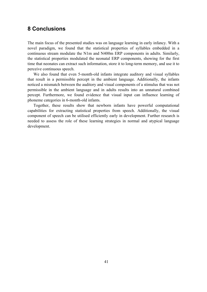### **8 Conclusions**

The main focus of the presented studies was on language learning in early infancy. With a novel paradigm, we found that the statistical properties of syllables embedded in a continuous stream modulate the N1m and N400m ERP components in adults. Similarly, the statistical properties modulated the neonatal ERP components, showing for the first time that neonates can extract such information, store it to long-term memory, and use it to perceive continuous speech.

We also found that even 5-month-old infants integrate auditory and visual syllables that result in a permissible percept in the ambient language. Additionally, the infants noticed a mismatch between the auditory and visual components of a stimulus that was not permissible in the ambient language and in adults results into an unnatural combined percept. Furthermore, we found evidence that visual input can influence learning of phoneme categories in 6-month-old infants.

Together, these results show that newborn infants have powerful computational capabilities for extracting statistical properties from speech. Additionally, the visual component of speech can be utilised efficiently early in development. Further research is needed to assess the role of these learning strategies in normal and atypical language development.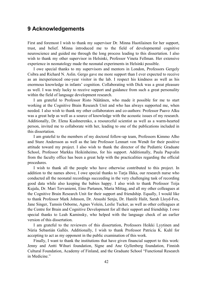### **9 Acknowledgements**

First and foremost I wish to thank my supervisor Dr. Minna Huotilainen for her support, trust, and belief. Minna introduced me to the field of developmental cognitive neuroscience and guided me through the long process leading to this dissertation. I also wish to thank my other supervisor in Helsinki, Professor Vineta Fellman. Her extensive experience in neonatology made the neonatal experiments in Helsinki possible.

I owe special thanks to my supervisors and mentors in London, Professors Gergely Csibra and Richard N. Aslin. Gergo gave me more support than I ever expected to receive as an inexperienced one-year visitor in the lab. I respect his kindness as well as his enormous knowledge in infants' cognition. Collaborating with Dick was a great pleasure as well. I was truly lucky to receive support and guidance from such a great personality within the field of language development research.

I am grateful to Professor Risto Näätänen, who made it possible for me to start working at the Cognitive Brain Research Unit and who has always supported me, when needed. I also wish to thank my other collaborators and co-authors: Professor Paavo Alku was a great help as well as a source of knowledge with the acoustic issues of my research. Additionally, Dr. Elena Kushnerenko, a resourceful scientist as well as a warm-hearted person, invited me to collaborate with her, leading to one of the publications included in this dissertation.

I am grateful to the members of my doctoral follow-up team, Professors Kimmo Alho and Sture Andersson as well as the late Professor Lennart von Wendt for their positive attitude toward my project. I also wish to thank the director of the Pediatric Graduate School, Professor Markku Heikinheimo, for his support. Additionally, Paula Paqvalin from the faculty office has been a great help with the practicalities regarding the official procedures.

I wish to thank all the people who have otherwise contributed to this project. In addition to the names above, I owe special thanks to Tarja Ilkka, our research nurse who conducted all the neonatal recordings succeeding in the very challenging task of recording good data while also keeping the babies happy. I also wish to thank Professor Teija Kujala, Dr. Mari Tervaniemi, Eino Partanen, Maria Mittag, and all my other colleagues at the Cognitive Brain Research Unit for their support and friendship. Equally, I would like to thank Professor Mark Johnson, Dr. Atsushi Senju, Dr. Hanife Halit, Sarah Lloyd-Fox, Jane Singer, Tamsin Osborne, Agnes Volein, Leslie Tucker, as well as other colleagues at the Centre for Brain and Cognitive Development for all their support and friendship. I owe special thanks to Leah Kaminsky, who helped with the language check of an earlier version of this dissertation.

I am grateful to the reviewers of this dissertation, Professors Heikki Lyytinen and Núria Sebastián Gallés. Additionally, I wish to thank Professor Patricia K. Kuhl for accepting to act as my opponent in the public examination of this work.

Finally, I want to thank the institutions that have given financial support to this work: Jenny and Antti Wihuri foundation, Signe and Ane Gyllenberg foundation, Finnish Cultural Foundation, Academy of Finland, and the Graduate School "Functional Research in Medicine."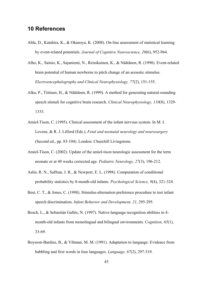### **10 References**

- Abla, D., Katahira, K., & Okanoya, K. (2008). On-line assessment of statistical learning by event-related potentials. *Journal of Cognitive Neuroscience, 20*(6), 952-964.
- Alho, K., Sainio, K., Sajaniemi, N., Reinikainen, K., & Näätänen, R. (1990). Event-related brain potential of human newborns to pitch change of an acoustic stimulus. *Electroencephalography and Clinical Neurophysiology, 77*(2), 151-155.
- Alku, P., Tiitinen, H., & Näätänen, R. (1999). A method for generating natural-sounding speech stimuli for cognitive brain research. *Clinical Neurophysiology, 110*(8), 1329- 1333.
- Amiel-Tison, C. (1995). Clinical assessment of the infant nervous system. In M. I. Levene, & R. J. Lilford (Eds.), *Fetal and neonatal neurology and neurosurgery* (Second ed., pp. 83-104). London: Churchill Livingstone.
- Amiel-Tison, C. (2002). Update of the amiel-tison neurologic assessment for the term neonate or at 40 weeks corrected age. *Pediatric Neurology, 27*(3), 196-212.
- Aslin, R. N., Saffran, J. R., & Newport, E. L. (1998). Computation of conditional probability statistics by 8-month-old infants. *Psychological Science, 9*(4), 321-324.
- Best, C. T., & Jones, C. (1998). Stimulus-alternation preference procedure to test infant speech discrimination. *Infant Behavior and Development, 21*, 295-295.
- Bosch, L., & Sebastián Gallés, N. (1997). Native-language recognition abilities in 4 month-old infants from monolingual and bilingual environments. *Cognition, 65*(1), 33-69.
- Boysson-Bardies, B., & Vihman, M. M. (1991). Adaptation to language: Evidence from babbling and first words in four languages. *Language, 67*(2), 297-319.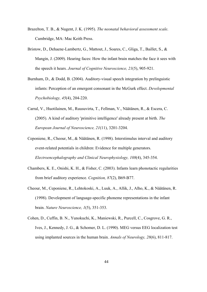- Brazelton, T. B., & Nugent, J. K. (1995). *The neonatal behavioral assessment scale*. Cambridge, MA: Mac Keith Press.
- Bristow, D., Dehaene-Lambertz, G., Mattout, J., Soares, C., Gliga, T., Baillet, S., & Mangin, J. (2009). Hearing faces: How the infant brain matches the face it sees with the speech it hears. *Journal of Cognitive Neuroscience, 21*(5), 905-921.
- Burnham, D., & Dodd, B. (2004). Auditory-visual speech integration by prelinguistic infants: Perception of an emergent consonant in the McGurk effect. *Developmental Psychobiology, 45*(4), 204-220.
- Carral, V., Huotilainen, M., Ruusuvirta, T., Fellman, V., Näätänen, R., & Escera, C. (2005). A kind of auditory 'primitive intelligence' already present at birth. *The European Journal of Neuroscience, 21*(11), 3201-3204.
- Ceponiene, R., Cheour, M., & Näätänen, R. (1998). Interstimulus interval and auditory event-related potentials in children: Evidence for multiple generators. *Electroencephalography and Clinical Neurophysiology, 108*(4), 345-354.
- Chambers, K. E., Onishi, K. H., & Fisher, C. (2003). Infants learn phonotactic regularities from brief auditory experience. *Cognition, 87*(2), B69-B77.
- Cheour, M., Ceponiene, R., Lehtokoski, A., Luuk, A., Allik, J., Alho, K., & Näätänen, R. (1998). Development of language-specific phoneme representations in the infant brain. *Nature Neuroscience, 1*(5), 351-353.
- Cohen, D., Cuffin, B. N., Yunokuchi, K., Maniewski, R., Purcell, C., Cosgrove, G. R., Ives, J., Kennedy, J. G., & Schomer, D. L. (1990). MEG versus EEG localization test using implanted sources in the human brain. *Annals of Neurology, 28*(6), 811-817.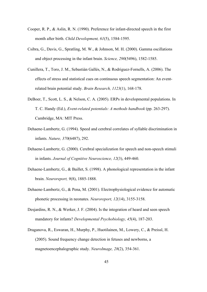- Cooper, R. P., & Aslin, R. N. (1990). Preference for infant-directed speech in the first month after birth. *Child Development, 61*(5), 1584-1595.
- Csibra, G., Davis, G., Spratling, M. W., & Johnson, M. H. (2000). Gamma oscillations and object processing in the infant brain. *Science, 290*(5496), 1582-1585.
- Cunillera, T., Toro, J. M., Sebastián Gallés, N., & Rodriguez-Fornells, A. (2006). The effects of stress and statistical cues on continuous speech segmentation: An eventrelated brain potential study. *Brain Research, 1123*(1), 168-178.
- DeBoer, T., Scott, L. S., & Nelson, C. A. (2005). ERPs in developmental populations. In T. C. Handy (Ed.), *Event-related potentials: A methods handbook* (pp. 263-297). Cambridge, MA: MIT Press.
- Dehaene-Lambertz, G. (1994). Speed and cerebral correlates of syllable discrimination in infants. *Nature, 370*(6487), 292.
- Dehaene-Lambertz, G. (2000). Cerebral specialization for speech and non-speech stimuli in infants. *Journal of Cognitive Neuroscience, 12*(3), 449-460.
- Dehaene-Lambertz, G., & Baillet, S. (1998). A phonological representation in the infant brain. *Neuroreport, 9*(8), 1885-1888.
- Dehaene-Lambertz, G., & Pena, M. (2001). Electrophysiological evidence for automatic phonetic processing in neonates. *Neuroreport, 12*(14), 3155-3158.
- Desjardins, R. N., & Werker, J. F. (2004). Is the integration of heard and seen speech mandatory for infants? *Developmental Psychobiology, 45*(4), 187-203.
- Draganova, R., Eswaran, H., Murphy, P., Huotilainen, M., Lowery, C., & Preissl, H. (2005). Sound frequency change detection in fetuses and newborns, a magnetoencephalographic study. *NeuroImage, 28*(2), 354-361.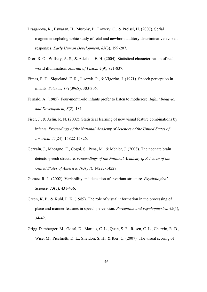- Draganova, R., Eswaran, H., Murphy, P., Lowery, C., & Preissl, H. (2007). Serial magnetoencephalographic study of fetal and newborn auditory discriminative evoked responses. *Early Human Development, 83*(3), 199-207.
- Dror, R. O., Willsky, A. S., & Adelson, E. H. (2004). Statistical characterization of realworld illumination. *Journal of Vision, 4*(9), 821-837.
- Eimas, P. D., Siqueland, E. R., Jusczyk, P., & Vigorito, J. (1971). Speech perception in infants. *Science, 171*(3968), 303-306.
- Fernald, A. (1985). Four-month-old infants prefer to listen to motherese. *Infant Behavior and Development, 8*(2), 181.
- Fiser, J., & Aslin, R. N. (2002). Statistical learning of new visual feature combinations by infants. *Proceedings of the National Academy of Sciences of the United States of America, 99*(24), 15822-15826.
- Gervain, J., Macagno, F., Cogoi, S., Pena, M., & Mehler, J. (2008). The neonate brain detects speech structure. *Proceedings of the National Academy of Sciences of the United States of America, 105*(37), 14222-14227.
- Gomez, R. L. (2002). Variability and detection of invariant structure. *Psychological Science, 13*(5), 431-436.
- Green, K. P., & Kuhl, P. K. (1989). The role of visual information in the processing of place and manner features in speech perception. *Perception and Psychophysics, 45*(1), 34-42.
- Grigg-Damberger, M., Gozal, D., Marcus, C. L., Quan, S. F., Rosen, C. L., Chervin, R. D., Wise, M., Picchietti, D. L., Sheldon, S. H., & Iber, C. (2007). The visual scoring of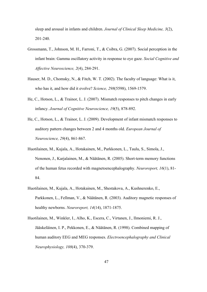sleep and arousal in infants and children. *Journal of Clinical Sleep Medicine, 3*(2), 201-240.

- Grossmann, T., Johnson, M. H., Farroni, T., & Csibra, G. (2007). Social perception in the infant brain: Gamma oscillatory activity in response to eye gaze. *Social Cognitive and Affective Neuroscience, 2*(4), 284-291.
- Hauser, M. D., Chomsky, N., & Fitch, W. T. (2002). The faculty of language: What is it, who has it, and how did it evolve? *Science, 298*(5598), 1569-1579.
- He, C., Hotson, L., & Trainor, L. J. (2007). Mismatch responses to pitch changes in early infancy. *Journal of Cognitive Neuroscience, 19*(5), 878-892.
- He, C., Hotson, L., & Trainor, L. J. (2009). Development of infant mismatch responses to auditory pattern changes between 2 and 4 months old. *European Journal of Neuroscience, 29*(4), 861-867.
- Huotilainen, M., Kujala, A., Hotakainen, M., Parkkonen, L., Taulu, S., Simola, J., Nenonen, J., Karjalainen, M., & Näätänen, R. (2005). Short-term memory functions of the human fetus recorded with magnetoencephalography. *Neuroreport, 16*(1), 81- 84.
- Huotilainen, M., Kujala, A., Hotakainen, M., Shestakova, A., Kushnerenko, E., Parkkonen, L., Fellman, V., & Näätänen, R. (2003). Auditory magnetic responses of healthy newborns. *Neuroreport, 14*(14), 1871-1875.
- Huotilainen, M., Winkler, I., Alho, K., Escera, C., Virtanen, J., Ilmoniemi, R. J., Jääskeläinen, I. P., Pekkonen, E., & Näätänen, R. (1998). Combined mapping of human auditory EEG and MEG responses. *Electroencephalography and Clinical Neurophysiology, 108*(4), 370-379.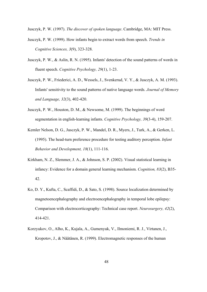Jusczyk, P. W. (1997). *The discover of spoken language*. Cambridge, MA: MIT Press.

- Jusczyk, P. W. (1999). How infants begin to extract words from speech. *Trends in Cognitive Sciences, 3*(9), 323-328.
- Jusczyk, P. W., & Aslin, R. N. (1995). Infants' detection of the sound patterns of words in fluent speech. *Cognitive Psychology, 29*(1), 1-23.
- Jusczyk, P. W., Friederici, A. D., Wessels, J., Svenkerud, V. Y., & Jusczyk, A. M. (1993). Infants' sensitivity to the sound patterns of native language words. *Journal of Memory and Language, 32*(3), 402-420.
- Jusczyk, P. W., Houston, D. M., & Newsome, M. (1999). The beginnings of word segmentation in english-learning infants. *Cognitive Psychology, 39*(3-4), 159-207.
- Kemler Nelson, D. G., Jusczyk, P. W., Mandel, D. R., Myers, J., Turk, A., & Gerken, L. (1995). The head-turn preference procedure for testing auditory perception. *Infant Behavior and Development, 18*(1), 111-116.
- Kirkham, N. Z., Slemmer, J. A., & Johnson, S. P. (2002). Visual statistical learning in infancy: Evidence for a domain general learning mechanism. *Cognition, 83*(2), B35- 42.
- Ko, D. Y., Kufta, C., Scaffidi, D., & Sato, S. (1998). Source localization determined by magnetoencephalography and electroencephalography in temporal lobe epilepsy: Comparison with electrocorticography: Technical case report. *Neurosurgery, 42*(2), 414-421.
- Korzyukov, O., Alho, K., Kujala, A., Gumenyuk, V., Ilmoniemi, R. J., Virtanen, J., Kropotov, J., & Näätänen, R. (1999). Electromagnetic responses of the human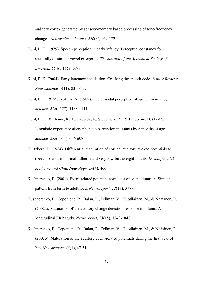auditory cortex generated by sensory-memory based processing of tone-frequency changes. *Neuroscience Letters, 276*(3), 169-172.

- Kuhl, P. K. (1979). Speech perception in early infancy: Perceptual constancy for spectrally dissimilar vowel categories. *The Journal of the Acoustical Society of America, 66*(6), 1668-1679.
- Kuhl, P. K. (2004). Early language acquisition: Cracking the speech code. *Nature Reviews Neuroscience, 5*(11), 831-843.
- Kuhl, P. K., & Meltzoff, A. N. (1982). The bimodal perception of speech in infancy. *Science, 218*(4577), 1138-1141.
- Kuhl, P. K., Williams, K. A., Lacerda, F., Stevens, K. N., & Lindblom, B. (1992). Linguistic experience alters phonetic perception in infants by 6 months of age. *Science, 255*(5044), 606-608.
- Kurtzberg, D. (1984). Differential maturation of cortical auditory evoked potentials to speech sounds in normal fullterm and very low-birthweight infants. *Developmental Medicine and Child Neurology, 26*(4), 466.
- Kushnerenko, E. (2001). Event-related potential correlates of sound duration: Similar pattern from birth to adulthood. *Neuroreport, 12*(17), 3777.
- Kushnerenko, E., Ceponiene, R., Balan, P., Fellman, V., Huotilainen, M., & Näätänen, R. (2002a). Maturation of the auditory change detection response in infants: A longitudinal ERP study. *Neuroreport, 13*(15), 1843-1848.
- Kushnerenko, E., Ceponiene, R., Balan, P., Fellman, V., Huotilainen, M., & Näätänen, R. (2002b). Maturation of the auditory event-related potentials during the first year of life. *Neuroreport, 13*(1), 47-51.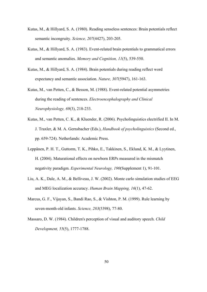- Kutas, M., & Hillyard, S. A. (1980). Reading senseless sentences: Brain potentials reflect semantic incongruity. *Science, 207*(4427), 203-205.
- Kutas, M., & Hillyard, S. A. (1983). Event-related brain potentials to grammatical errors and semantic anomalies. *Memory and Cognition, 11*(5), 539-550.
- Kutas, M., & Hillyard, S. A. (1984). Brain potentials during reading reflect word expectancy and semantic association. *Nature, 307*(5947), 161-163.
- Kutas, M., van Petten, C., & Besson, M. (1988). Event-related potential asymmetries during the reading of sentences. *Electroencephalography and Clinical Neurophysiology, 69*(3), 218-233.
- Kutas, M., van Petten, C. K., & Kluender, R. (2006). Psycholinguistics electrified II. In M. J. Traxler, & M. A. Gernsbacher (Eds.), *Handbook of psycholinguistics* (Second ed., pp. 659-724). Netherlands: Academic Press.
- Leppänen, P. H. T., Guttorm, T. K., Pihko, E., Takkinen, S., Eklund, K. M., & Lyytinen, H. (2004). Maturational effects on newborn ERPs measured in the mismatch negativity paradigm. *Experimental Neurology, 190*(Supplement 1), 91-101.
- Liu, A. K., Dale, A. M., & Belliveau, J. W. (2002). Monte carlo simulation studies of EEG and MEG localization accuracy. *Human Brain Mapping, 16*(1), 47-62.
- Marcus, G. F., Vijayan, S., Bandi Rao, S., & Vishton, P. M. (1999). Rule learning by seven-month-old infants. *Science, 283*(5398), 77-80.
- Massaro, D. W. (1984). Children's perception of visual and auditory speech. *Child Development, 55*(5), 1777-1788.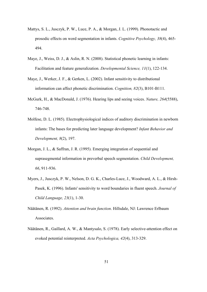- Mattys, S. L., Jusczyk, P. W., Luce, P. A., & Morgan, J. L. (1999). Phonotactic and prosodic effects on word segmentation in infants. *Cognitive Psychology, 38*(4), 465- 494.
- Maye, J., Weiss, D. J., & Aslin, R. N. (2008). Statistical phonetic learning in infants: Facilitation and feature generalization. *Developmental Science, 11*(1), 122-134.
- Maye, J., Werker, J. F., & Gerken, L. (2002). Infant sensitivity to distributional information can affect phonetic discrimination. *Cognition, 82*(3), B101-B111.
- McGurk, H., & MacDonald, J. (1976). Hearing lips and seeing voices. *Nature, 264*(5588), 746-748.
- Molfese, D. L. (1985). Electrophysiological indices of auditory discrimination in newborn infants: The bases for predicting later language development? *Infant Behavior and Development, 8*(2), 197.
- Morgan, J. L., & Saffran, J. R. (1995). Emerging integration of sequential and suprasegmental information in preverbal speech segmentation. *Child Development, 66*, 911-936.
- Myers, J., Jusczyk, P. W., Nelson, D. G. K., Charles-Luce, J., Woodward, A. L., & Hirsh-Pasek, K. (1996). Infants' sensitivity to word boundaries in fluent speech. *Journal of Child Language, 23*(1), 1-30.
- Näätänen, R. (1992). *Attention and brain function*. Hillsdale, NJ: Lawrence Erlbaum Associates.
- Näätänen, R., Gaillard, A. W., & Mantysalo, S. (1978). Early selective-attention effect on evoked potential reinterpreted. *Acta Psychologica, 42*(4), 313-329.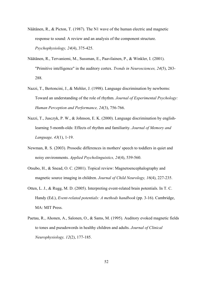- Näätänen, R., & Picton, T. (1987). The N1 wave of the human electric and magnetic response to sound: A review and an analysis of the component structure. *Psychophysiology, 24*(4), 375-425.
- Näätänen, R., Tervaniemi, M., Sussman, E., Paavilainen, P., & Winkler, I. (2001). "Primitive intelligence" in the auditory cortex. *Trends in Neurosciences, 24*(5), 283- 288.
- Nazzi, T., Bertoncini, J., & Mehler, J. (1998). Language discrimination by newborns: Toward an understanding of the role of rhythm. *Journal of Experimental Psychology: Human Perception and Performance, 24*(3), 756-766.
- Nazzi, T., Jusczyk, P. W., & Johnson, E. K. (2000). Language discrimination by englishlearning 5-month-olds: Effects of rhythm and familiarity. *Journal of Memory and Language, 43*(1), 1-19.
- Newman, R. S. (2003). Prosodic differences in mothers' speech to toddlers in quiet and noisy environments. *Applied Psycholinguistics, 24*(4), 539-560.
- Otsubo, H., & Snead, O. C. (2001). Topical review: Magnetoencephalography and magnetic source imaging in children. *Journal of Child Neurology, 16*(4), 227-235.
- Otten, L. J., & Rugg, M. D. (2005). Interpreting event-related brain potentials. In T. C. Handy (Ed.), *Event-related potentials: A methods handbook* (pp. 3-16). Cambridge, MA: MIT Press.
- Paetau, R., Ahonen, A., Salonen, O., & Sams, M. (1995). Auditory evoked magnetic fields to tones and pseudowords in healthy children and adults. *Journal of Clinical Neurophysiology, 12*(2), 177-185.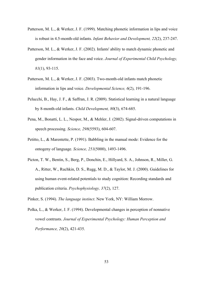- Patterson, M. L., & Werker, J. F. (1999). Matching phonetic information in lips and voice is robust in 4.5-month-old infants. *Infant Behavior and Development, 22*(2), 237-247.
- Patterson, M. L., & Werker, J. F. (2002). Infants' ability to match dynamic phonetic and gender information in the face and voice. *Journal of Experimental Child Psychology, 81*(1), 93-115.
- Patterson, M. L., & Werker, J. F. (2003). Two-month-old infants match phonetic information in lips and voice. *Developmental Science, 6*(2), 191-196.
- Pelucchi, B., Hay, J. F., & Saffran, J. R. (2009). Statistical learning in a natural language by 8-month-old infants. *Child Development, 80*(3), 674-685.
- Pena, M., Bonatti, L. L., Nespor, M., & Mehler, J. (2002). Signal-driven computations in speech processing. *Science, 298*(5593), 604-607.
- Petitto, L., & Marentette, P. (1991). Babbling in the manual mode: Evidence for the ontogeny of language. *Science, 251*(5000), 1493-1496.
- Picton, T. W., Bentin, S., Berg, P., Donchin, E., Hillyard, S. A., Johnson, R., Miller, G. A., Ritter, W., Ruchkin, D. S., Rugg, M. D., & Taylor, M. J. (2000). Guidelines for using human event-related potentials to study cognition: Recording standards and publication criteria. *Psychophysiology, 37*(2), 127.
- Pinker, S. (1994). *The language instinct*. New York, NY: William Morrow.
- Polka, L., & Werker, J. F. (1994). Developmental changes in perception of nonnative vowel contrasts. *Journal of Experimental Psychology: Human Perception and Performance, 20*(2), 421-435.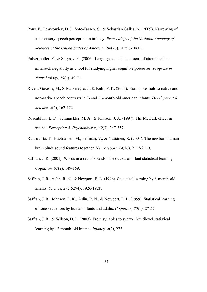- Pons, F., Lewkowicz, D. J., Soto-Faraco, S., & Sebastián Gallés, N. (2009). Narrowing of intersensory speech perception in infancy. *Proceedings of the National Academy of Sciences of the United States of America, 106*(26), 10598-10602.
- Pulvermuller, F., & Shtyrov, Y. (2006). Language outside the focus of attention: The mismatch negativity as a tool for studying higher cognitive processes. *Progress in Neurobiology, 79*(1), 49-71.
- Rivera-Gaxiola, M., Silva-Pereyra, J., & Kuhl, P. K. (2005). Brain potentials to native and non-native speech contrasts in 7- and 11-month-old american infants. *Developmental Science, 8*(2), 162-172.
- Rosenblum, L. D., Schmuckler, M. A., & Johnson, J. A. (1997). The McGurk effect in infants. *Perception & Psychophysics, 59*(3), 347-357.
- Ruusuvirta, T., Huotilainen, M., Fellman, V., & Näätänen, R. (2003). The newborn human brain binds sound features together. *Neuroreport, 14*(16), 2117-2119.
- Saffran, J. R. (2001). Words in a sea of sounds: The output of infant statistical learning. *Cognition, 81*(2), 149-169.
- Saffran, J. R., Aslin, R. N., & Newport, E. L. (1996). Statistical learning by 8-month-old infants. *Science, 274*(5294), 1926-1928.
- Saffran, J. R., Johnson, E. K., Aslin, R. N., & Newport, E. L. (1999). Statistical learning of tone sequences by human infants and adults. *Cognition, 70*(1), 27-52.
- Saffran, J. R., & Wilson, D. P. (2003). From syllables to syntax: Multilevel statistical learning by 12-month-old infants. *Infancy, 4*(2), 273.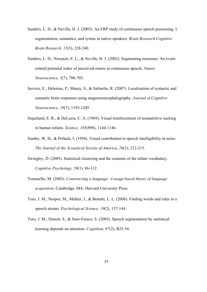- Sanders, L. D., & Neville, H. J. (2003). An ERP study of continuous speech processing. I. segmentation, semantics, and syntax in native speakers. *Brain Research Cognitive Brain Research, 15*(3), 228-240.
- Sanders, L. D., Newport, E. L., & Neville, H. J. (2002). Segmenting nonsense: An eventrelated potential index of perceived onsets in continuous speech. *Nature Neuroscience, 5*(7), 700-703.
- Service, E., Helenius, P., Maury, S., & Salmelin, R. (2007). Localization of syntactic and semantic brain responses using magnetoencephalography. *Journal of Cognitive Neuroscience, 19*(7), 1193-1205.
- Siqueland, E. R., & DeLucia, C. A. (1969). Visual reinforcement of nonnutritive sucking in human infants. *Science, 165*(898), 1144-1146.
- Sumby, W. H., & Pollack, I. (1954). Visual contribution to speech intelligibility in noise. *The Journal of the Acoustical Society of America, 26*(2), 212-215.
- Swingley, D. (2005). Statistical clustering and the contents of the infant vocabulary. *Cognitive Psychology, 50*(1), 86-132.
- Tomasello, M. (2003). *Constructing a language: A usage-based theory of language acquisition*. Cambridge, MA: Harvard University Press.
- Toro, J. M., Nespor, M., Mehler, J., & Bonatti, L. L. (2008). Finding words and rules in a speech stream. *Psychological Science, 19*(2), 137-144.
- Toro, J. M., Sinnett, S., & Soto-Faraco, S. (2005). Speech segmentation by statistical learning depends on attention. *Cognition, 97*(2), B25-34.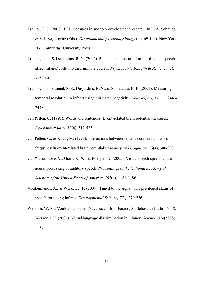- Trainor, L. J. (2008). ERP measures in auditory development research. In L. A. Schmidt, & S. J. Segalowitz (Eds.), *Developmental psychophysiology* (pp. 69-102). New York, NY: Cambridge University Press.
- Trainor, L. J., & Desjardins, R. N. (2002). Pitch characteristics of infant-directed speech affect infants' ability to discriminate vowels. *Psychonomic Bulletin & Review, 9*(2), 335-340.
- Trainor, L. J., Samuel, S. S., Desjardins, R. N., & Sonnadara, R. R. (2001). Measuring temporal resolution in infants using mismatch negativity. *Neuroreport, 12*(11), 2443- 2448.
- van Petten, C. (1995). Words and sentences: Event-related brain potential measures. *Psychophysiology, 32*(6), 511-525.
- van Petten, C., & Kutas, M. (1990). Interactions between sentence context and word frequency in event-related brain potentials. *Memory and Cognition, 18*(4), 380-393.
- van Wassenhove, V., Grant, K. W., & Poeppel, D. (2005). Visual speech speeds up the neural processing of auditory speech. *Proceedings of the National Academy of Sciences of the United States of America, 102*(4), 1181-1186.
- Vouloumanos, A., & Werker, J. F. (2004). Tuned to the signal: The privileged status of speech for young infants. *Developmental Science, 7*(3), 270-276.
- Weikum, W. M., Vouloumanos, A., Navarra, J., Soto-Faraco, S., Sebastián Gallés, N., & Werker, J. F. (2007). Visual language discrimination in infancy. *Science, 316*(5828), 1159.